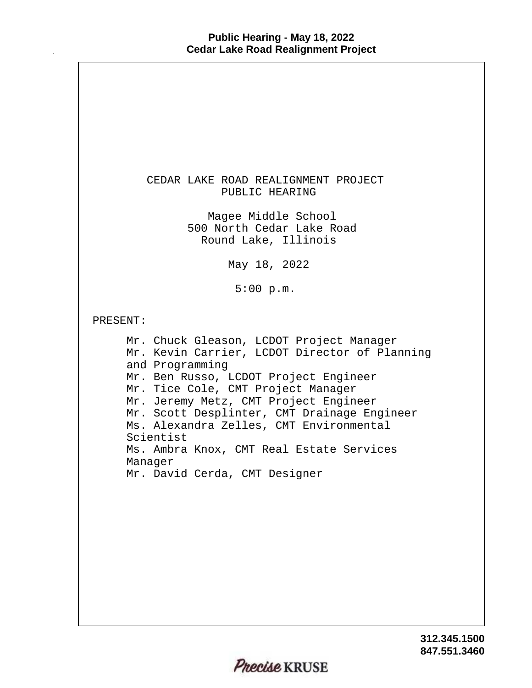| CEDAR LAKE ROAD REALIGNMENT PROJECT<br>PUBLIC HEARING                                                                                                                                                                                                                                                                                                                                                                               |
|-------------------------------------------------------------------------------------------------------------------------------------------------------------------------------------------------------------------------------------------------------------------------------------------------------------------------------------------------------------------------------------------------------------------------------------|
| Magee Middle School<br>500 North Cedar Lake Road<br>Round Lake, Illinois                                                                                                                                                                                                                                                                                                                                                            |
| May 18, 2022                                                                                                                                                                                                                                                                                                                                                                                                                        |
| 5:00 p.m.                                                                                                                                                                                                                                                                                                                                                                                                                           |
| PRESENT:                                                                                                                                                                                                                                                                                                                                                                                                                            |
| Mr. Chuck Gleason, LCDOT Project Manager<br>Mr. Kevin Carrier, LCDOT Director of Planning<br>and Programming<br>Mr. Ben Russo, LCDOT Project Engineer<br>Mr. Tice Cole, CMT Project Manager<br>Mr. Jeremy Metz, CMT Project Engineer<br>Mr. Scott Desplinter, CMT Drainage Engineer<br>Ms. Alexandra Zelles, CMT Environmental<br>Scientist<br>Ms. Ambra Knox, CMT Real Estate Services<br>Manager<br>Mr. David Cerda, CMT Designer |
| 312.345                                                                                                                                                                                                                                                                                                                                                                                                                             |

**847.551.3460 312.345.1500**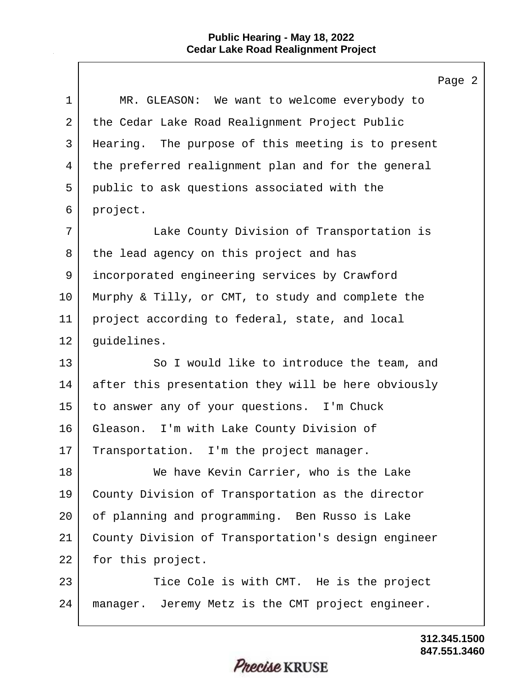$\mathbf{I}$ 

|             | Page                                                |
|-------------|-----------------------------------------------------|
| $\mathbf 1$ | MR. GLEASON: We want to welcome everybody to        |
| 2           | the Cedar Lake Road Realignment Project Public      |
| 3           | Hearing. The purpose of this meeting is to present  |
| 4           | the preferred realignment plan and for the general  |
| 5           | public to ask questions associated with the         |
| 6           | project.                                            |
| 7           | Lake County Division of Transportation is           |
| 8           | the lead agency on this project and has             |
| 9           | incorporated engineering services by Crawford       |
| 10          | Murphy & Tilly, or CMT, to study and complete the   |
| 11          | project according to federal, state, and local      |
| 12          | guidelines.                                         |
| 13          | So I would like to introduce the team, and          |
| 14          | after this presentation they will be here obviously |
| 15          | to answer any of your questions. I'm Chuck          |
| 16          | Gleason. I'm with Lake County Division of           |
| 17          | Transportation. I'm the project manager.            |
| 18          | We have Kevin Carrier, who is the Lake              |
| 19          | County Division of Transportation as the director   |
| 20          | of planning and programming. Ben Russo is Lake      |
| 21          | County Division of Transportation's design engineer |
| 22          | for this project.                                   |
| 23          | Tice Cole is with CMT. He is the project            |
| 24          | manager. Jeremy Metz is the CMT project engineer.   |
|             |                                                     |

**847.551.3460 312.345.1500**

 $\overline{a}$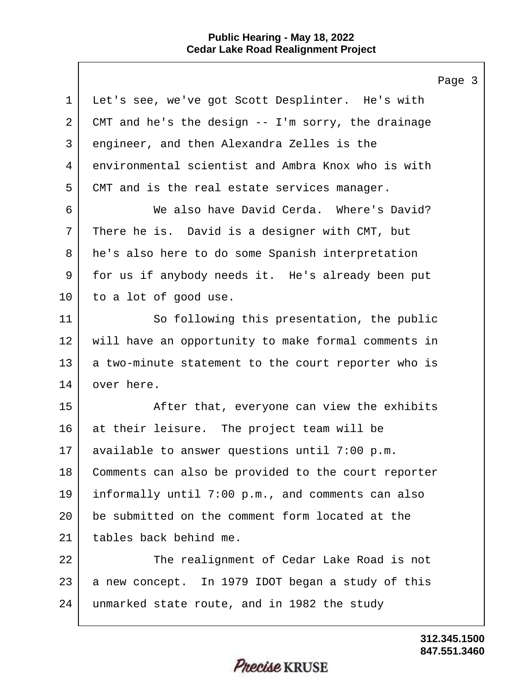|                | rage                                                 |
|----------------|------------------------------------------------------|
| $\mathbf 1$    | Let's see, we've got Scott Desplinter. He's with     |
| $\overline{2}$ | CMT and he's the design $--$ I'm sorry, the drainage |
| 3              | engineer, and then Alexandra Zelles is the           |
| 4              | environmental scientist and Ambra Knox who is with   |
| 5              | CMT and is the real estate services manager.         |
| 6              | We also have David Cerda. Where's David?             |
| 7              | There he is. David is a designer with CMT, but       |
| 8              | he's also here to do some Spanish interpretation     |
| 9              | for us if anybody needs it. He's already been put    |
| 10             | to a lot of good use.                                |
| 11             | So following this presentation, the public           |
| 12             | will have an opportunity to make formal comments in  |
| 13             | a two-minute statement to the court reporter who is  |
| 14             | over here.                                           |
| 15             | After that, everyone can view the exhibits           |
| 16             | at their leisure. The project team will be           |
| 17             | available to answer questions until 7:00 p.m.        |
| 18             | Comments can also be provided to the court reporter  |
| 19             | informally until 7:00 p.m., and comments can also    |
| 20             | be submitted on the comment form located at the      |
| 21             | tables back behind me.                               |
| 22             | The realignment of Cedar Lake Road is not            |
| 23             | a new concept. In 1979 IDOT began a study of this    |
| 24             | unmarked state route, and in 1982 the study          |
|                |                                                      |

 $\overline{3}$ 

Precise KRUSE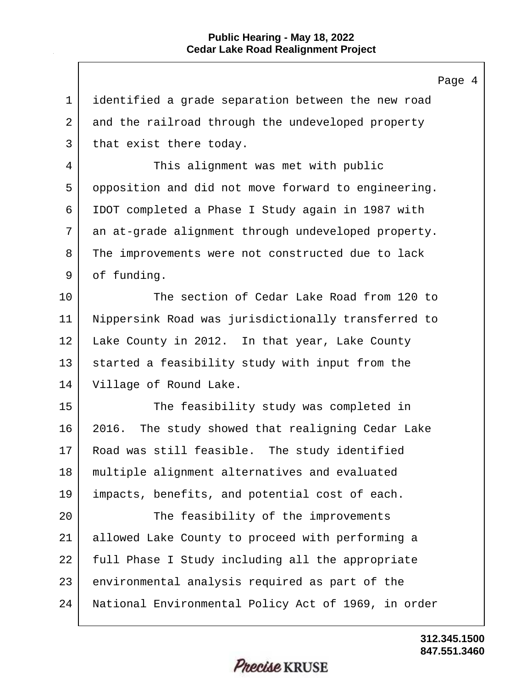Page 4 1 | identified a grade separation between the new road 2 and the railroad through the undeveloped property 3 | that exist there today. 4 This alignment was met with public 5 opposition and did not move forward to engineering. 6 IDOT completed a Phase I Study again in 1987 with 7 an at-grade alignment through undeveloped property. 8 The improvements were not constructed due to lack 9 of funding. 10 The section of Cedar Lake Road from 120 to 11 Nippersink Road was jurisdictionally transferred to 12 Lake County in 2012. In that year, Lake County 13 started a feasibility study with input from the 14 Village of Round Lake. 15 The feasibility study was completed in 16 2016. The study showed that realigning Cedar Lake 17 Road was still feasible. The study identified 18 multiple alignment alternatives and evaluated 19 impacts, benefits, and potential cost of each. 20 The feasibility of the improvements 21 allowed Lake County to proceed with performing a 22 | full Phase I Study including all the appropriate 23 environmental analysis required as part of the 24 National Environmental Policy Act of 1969, in order

> **847.551.3460 312.345.1500**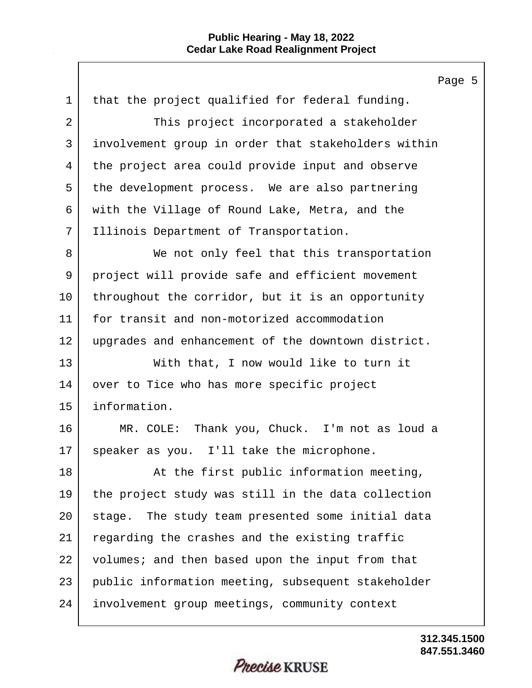Page 5 1 that the project qualified for federal funding. 2 This project incorporated a stakeholder 3 involvement group in order that stakeholders within 4 the project area could provide input and observe 5 | the development process. We are also partnering 6 with the Village of Round Lake, Metra, and the 7 Illinois Department of Transportation. 8 We not only feel that this transportation 9 project will provide safe and efficient movement 10 throughout the corridor, but it is an opportunity 11 for transit and non-motorized accommodation 12 upgrades and enhancement of the downtown district. 13 With that, I now would like to turn it 14 over to Tice who has more specific project 15 information. 16 MR. COLE: Thank you, Chuck. I'm not as loud a 17 speaker as you. I'll take the microphone. 18 | At the first public information meeting, 19 the project study was still in the data collection 20 stage. The study team presented some initial data 21 regarding the crashes and the existing traffic 22 volumes; and then based upon the input from that 23 public information meeting, subsequent stakeholder 24 involvement group meetings, community context

*Precise* KRUSE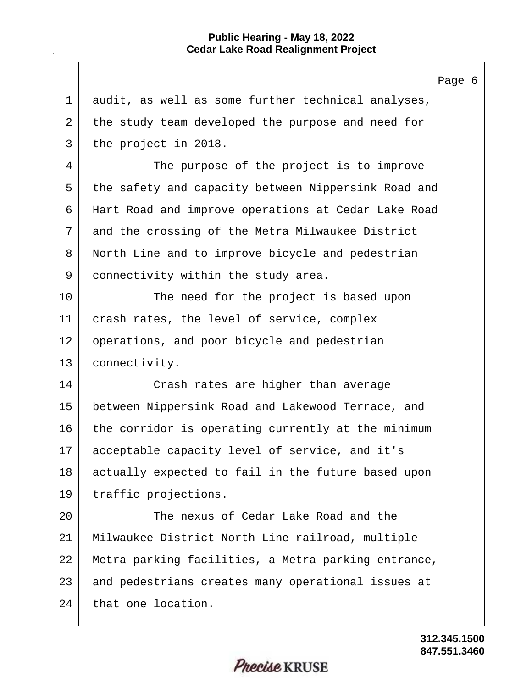|                | Page                                                |
|----------------|-----------------------------------------------------|
| $\mathbf 1$    | audit, as well as some further technical analyses,  |
| $\overline{2}$ | the study team developed the purpose and need for   |
| 3              | the project in 2018.                                |
| 4              | The purpose of the project is to improve            |
| 5              | the safety and capacity between Nippersink Road and |
| 6              | Hart Road and improve operations at Cedar Lake Road |
| 7              | and the crossing of the Metra Milwaukee District    |
| 8              | North Line and to improve bicycle and pedestrian    |
| 9              | connectivity within the study area.                 |
| 10             | The need for the project is based upon              |
| 11             | crash rates, the level of service, complex          |
| 12             | operations, and poor bicycle and pedestrian         |
| 13             | connectivity.                                       |
| 14             | Crash rates are higher than average                 |
| 15             | between Nippersink Road and Lakewood Terrace, and   |
| 16             | the corridor is operating currently at the minimum  |
| 17             | acceptable capacity level of service, and it's      |
| 18             | actually expected to fail in the future based upon  |
| 19             | traffic projections.                                |
| 20             | The nexus of Cedar Lake Road and the                |
| 21             | Milwaukee District North Line railroad, multiple    |
| 22             | Metra parking facilities, a Metra parking entrance, |
| 23             | and pedestrians creates many operational issues at  |
| 24             | that one location.                                  |

**847.551.3460 312.345.1500**

 $6 \overline{6}$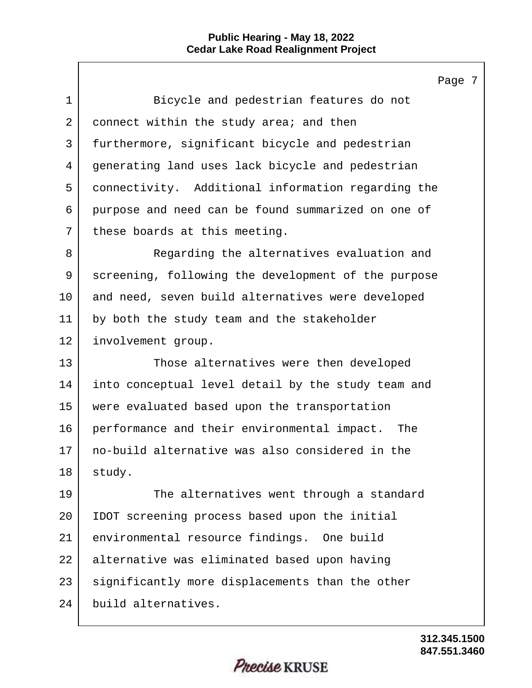$\mathbf{I}$ 

|             | Page 7                                              |
|-------------|-----------------------------------------------------|
| $\mathbf 1$ | Bicycle and pedestrian features do not              |
| 2           | connect within the study area; and then             |
| 3           | furthermore, significant bicycle and pedestrian     |
| 4           | generating land uses lack bicycle and pedestrian    |
| 5           | connectivity. Additional information regarding the  |
| 6           | purpose and need can be found summarized on one of  |
| 7           | these boards at this meeting.                       |
| 8           | Regarding the alternatives evaluation and           |
| 9           | screening, following the development of the purpose |
| $10 \,$     | and need, seven build alternatives were developed   |
| 11          | by both the study team and the stakeholder          |
| 12          | involvement group.                                  |
| 13          | Those alternatives were then developed              |
| 14          | into conceptual level detail by the study team and  |
| 15          | were evaluated based upon the transportation        |
| 16          | performance and their environmental impact. The     |
| 17          | no-build alternative was also considered in the     |
| 18          | study.                                              |
| 19          | The alternatives went through a standard            |
| $20 \,$     | IDOT screening process based upon the initial       |
| 21          | environmental resource findings. One build          |
| 22          | alternative was eliminated based upon having        |
| 23          | significantly more displacements than the other     |
| 24          | build alternatives.                                 |
|             |                                                     |

**847.551.3460 312.345.1500**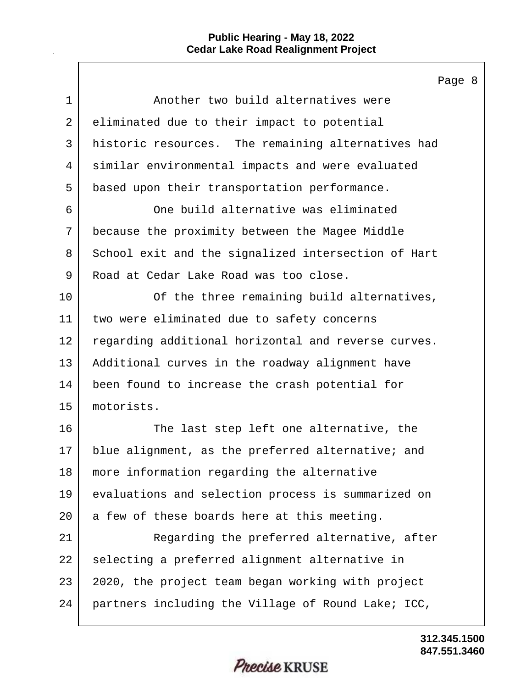$\Gamma$ 

|                | Page 8                                              |
|----------------|-----------------------------------------------------|
| $\mathbf{1}$   | Another two build alternatives were                 |
| $\overline{a}$ | eliminated due to their impact to potential         |
| 3              | historic resources. The remaining alternatives had  |
| 4              | similar environmental impacts and were evaluated    |
| 5              | based upon their transportation performance.        |
| 6              | One build alternative was eliminated                |
| 7              | because the proximity between the Magee Middle      |
| 8              | School exit and the signalized intersection of Hart |
| 9              | Road at Cedar Lake Road was too close.              |
| 10             | Of the three remaining build alternatives,          |
| 11             | two were eliminated due to safety concerns          |
| 12             | regarding additional horizontal and reverse curves. |
| 13             | Additional curves in the roadway alignment have     |
| 14             | been found to increase the crash potential for      |
| 15             | motorists.                                          |
| 16             | The last step left one alternative, the             |
| 17             | blue alignment, as the preferred alternative; and   |
| 18             | more information regarding the alternative          |
| 19             | evaluations and selection process is summarized on  |
| 20             | a few of these boards here at this meeting.         |
| 21             | Regarding the preferred alternative, after          |
| 22             | selecting a preferred alignment alternative in      |
| 23             | 2020, the project team began working with project   |
| 24             | partners including the Village of Round Lake; ICC,  |
|                |                                                     |

**847.551.3460 312.345.1500**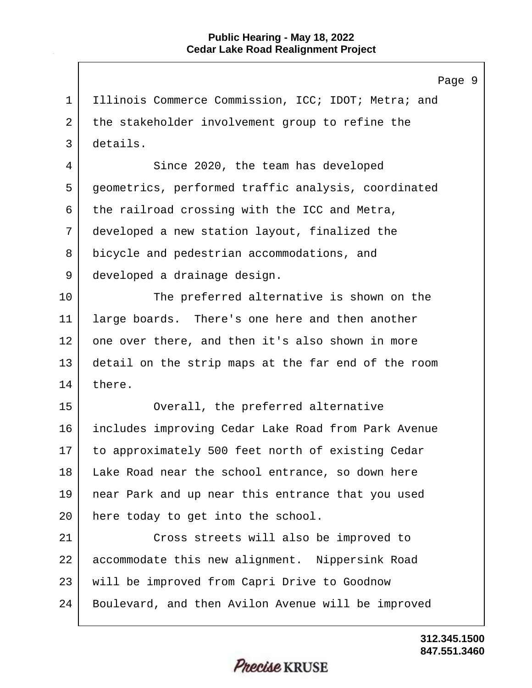Page 9 1 | Illinois Commerce Commission, ICC; IDOT; Metra; and 2 the stakeholder involvement group to refine the 3 details. 4 Since 2020, the team has developed 5 geometrics, performed traffic analysis, coordinated  $6$  the railroad crossing with the ICC and Metra, 7 developed a new station layout, finalized the 8 bicycle and pedestrian accommodations, and 9 developed a drainage design. 10 The preferred alternative is shown on the 11 large boards. There's one here and then another 12 one over there, and then it's also shown in more 13 detail on the strip maps at the far end of the room 14 there. 15 Overall, the preferred alternative 16 includes improving Cedar Lake Road from Park Avenue 17 to approximately 500 feet north of existing Cedar 18 Lake Road near the school entrance, so down here 19 near Park and up near this entrance that you used 20 here today to get into the school. 21 Cross streets will also be improved to 22 accommodate this new alignment. Nippersink Road 23 will be improved from Capri Drive to Goodnow 24 Boulevard, and then Avilon Avenue will be improved

> **847.551.3460 312.345.1500**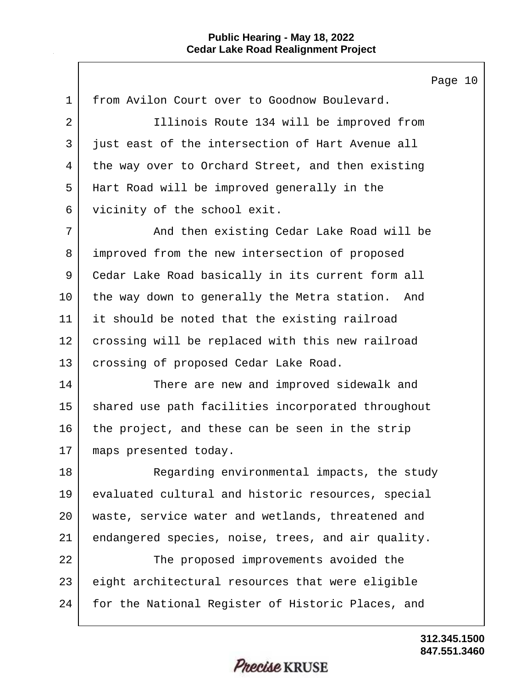Page 10 1 from Avilon Court over to Goodnow Boulevard. 2 | Tillinois Route 134 will be improved from 3 | just east of the intersection of Hart Avenue all 4 the way over to Orchard Street, and then existing 5 Hart Road will be improved generally in the 6 vicinity of the school exit. 7 And then existing Cedar Lake Road will be 8 improved from the new intersection of proposed 9 Cedar Lake Road basically in its current form all 10 the way down to generally the Metra station. And 11 it should be noted that the existing railroad 12 crossing will be replaced with this new railroad 13 | crossing of proposed Cedar Lake Road. 14 There are new and improved sidewalk and 15 | shared use path facilities incorporated throughout 16 the project, and these can be seen in the strip 17 maps presented today. 18 Regarding environmental impacts, the study 19 evaluated cultural and historic resources, special 20 waste, service water and wetlands, threatened and 21 endangered species, noise, trees, and air quality. 22 The proposed improvements avoided the 23 eight architectural resources that were eligible 24 for the National Register of Historic Places, and

> **847.551.3460 312.345.1500**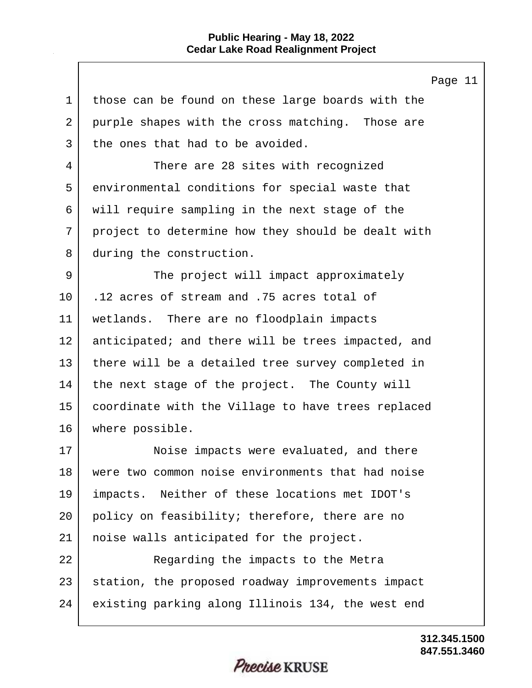$\mathbf{I}$ 

|                | Page 11                                            |
|----------------|----------------------------------------------------|
| $\mathbf 1$    | those can be found on these large boards with the  |
| $\overline{2}$ | purple shapes with the cross matching. Those are   |
| 3              | the ones that had to be avoided.                   |
| 4              | There are 28 sites with recognized                 |
| 5              | environmental conditions for special waste that    |
| 6              | will require sampling in the next stage of the     |
| 7              | project to determine how they should be dealt with |
| 8              | during the construction.                           |
| 9              | The project will impact approximately              |
| 10             | .12 acres of stream and .75 acres total of         |
| 11             | wetlands. There are no floodplain impacts          |
| 12             | anticipated; and there will be trees impacted, and |
| 13             | there will be a detailed tree survey completed in  |
| 14             | the next stage of the project. The County will     |
| 15             | coordinate with the Village to have trees replaced |
| 16             | where possible.                                    |
| $17 \,$        | Noise impacts were evaluated, and there            |
| 18             | were two common noise environments that had noise  |
| 19             | impacts. Neither of these locations met IDOT's     |
| 20             | policy on feasibility; therefore, there are no     |
| 21             | noise walls anticipated for the project.           |
| 22             | Regarding the impacts to the Metra                 |
| 23             | station, the proposed roadway improvements impact  |
| 24             | existing parking along Illinois 134, the west end  |

**847.551.3460 312.345.1500**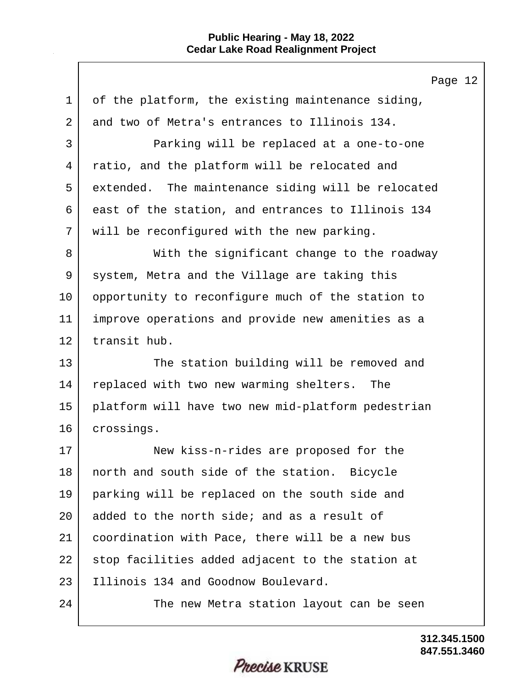Page 12 1 of the platform, the existing maintenance siding, 2 and two of Metra's entrances to Illinois 134. 3 Parking will be replaced at a one-to-one 4 ratio, and the platform will be relocated and 5 extended. The maintenance siding will be relocated 6 east of the station, and entrances to Illinois 134 7 | will be reconfigured with the new parking. 8 With the significant change to the roadway 9 system, Metra and the Village are taking this 10 opportunity to reconfigure much of the station to 11 improve operations and provide new amenities as a 12 transit hub. 13 The station building will be removed and 14 replaced with two new warming shelters. The 15 platform will have two new mid-platform pedestrian 16 crossings. 17 New kiss-n-rides are proposed for the 18 | north and south side of the station. Bicycle 19 parking will be replaced on the south side and 20 added to the north side; and as a result of 21 coordination with Pace, there will be a new bus 22 stop facilities added adjacent to the station at 23 Illinois 134 and Goodnow Boulevard. 24 The new Metra station layout can be seen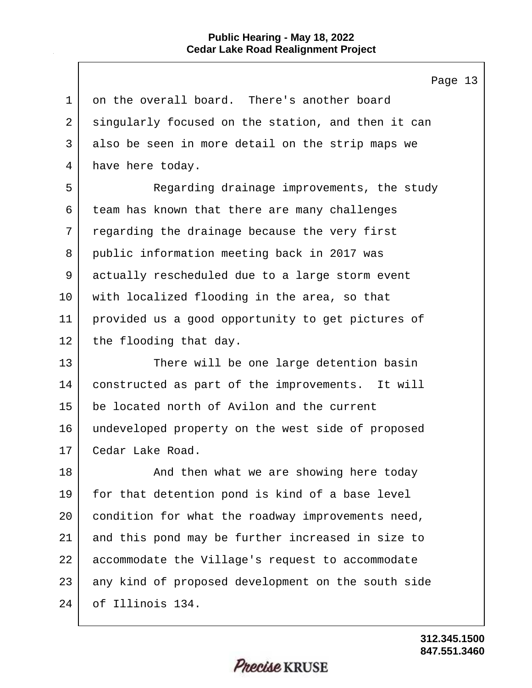| on the overall board. There's another board<br>singularly focused on the station, and then it can |
|---------------------------------------------------------------------------------------------------|
|                                                                                                   |
|                                                                                                   |
| also be seen in more detail on the strip maps we                                                  |
| have here today.                                                                                  |
| Regarding drainage improvements, the study                                                        |
| team has known that there are many challenges                                                     |
| regarding the drainage because the very first                                                     |
| public information meeting back in 2017 was                                                       |
| actually rescheduled due to a large storm event                                                   |
| with localized flooding in the area, so that                                                      |
| provided us a good opportunity to get pictures of                                                 |
| the flooding that day.                                                                            |
| There will be one large detention basin                                                           |
| constructed as part of the improvements. It will                                                  |
| be located north of Avilon and the current                                                        |
| undeveloped property on the west side of proposed                                                 |
| Cedar Lake Road.                                                                                  |
| And then what we are showing here today                                                           |
| for that detention pond is kind of a base level                                                   |
| condition for what the roadway improvements need,                                                 |
| and this pond may be further increased in size to                                                 |
| accommodate the Village's request to accommodate                                                  |
| any kind of proposed development on the south side                                                |
| of Illinois 134.                                                                                  |
|                                                                                                   |

**847.551.3460 312.345.1500**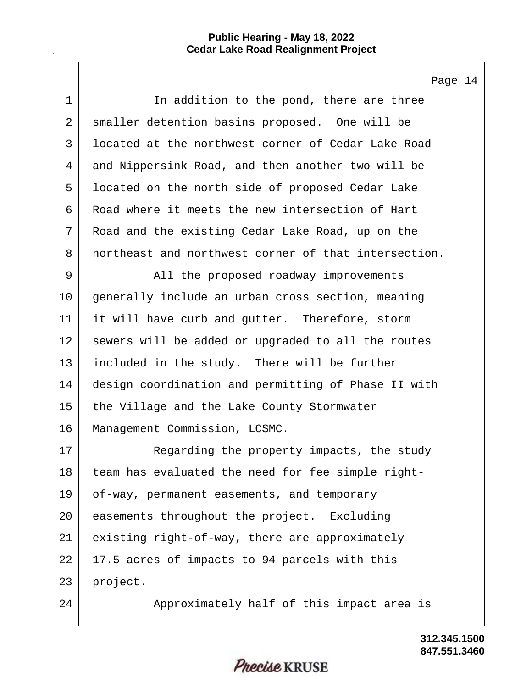$\Gamma$ 

|                | Page 14                                              |
|----------------|------------------------------------------------------|
| $\mathbf 1$    | In addition to the pond, there are three             |
| $\overline{a}$ | smaller detention basins proposed. One will be       |
| 3              | located at the northwest corner of Cedar Lake Road   |
| 4              | and Nippersink Road, and then another two will be    |
| 5              | located on the north side of proposed Cedar Lake     |
| 6              | Road where it meets the new intersection of Hart     |
| 7              | Road and the existing Cedar Lake Road, up on the     |
| 8              | northeast and northwest corner of that intersection. |
| 9              | All the proposed roadway improvements                |
| 10             | generally include an urban cross section, meaning    |
| 11             | it will have curb and gutter. Therefore, storm       |
| 12             | sewers will be added or upgraded to all the routes   |
| 13             | included in the study. There will be further         |
| 14             | design coordination and permitting of Phase II with  |
| 15             | the Village and the Lake County Stormwater           |
| 16             | Management Commission, LCSMC.                        |
| 17             | Regarding the property impacts, the study            |
| 18             | team has evaluated the need for fee simple right-    |
| 19             | of-way, permanent easements, and temporary           |
| 20             | easements throughout the project. Excluding          |
| 21             | existing right-of-way, there are approximately       |
| 22             | 17.5 acres of impacts to 94 parcels with this        |
| 23             | project.                                             |
| 24             | Approximately half of this impact area is            |

**847.551.3460 312.345.1500**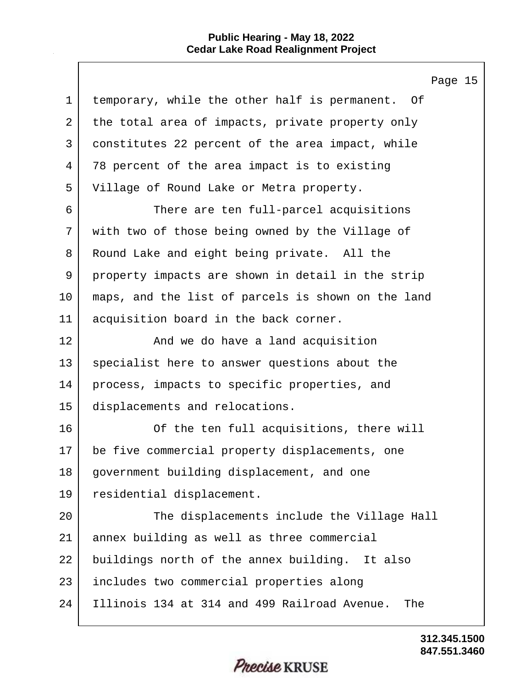$\mathsf{l}$ 

|             | Page 15                                             |
|-------------|-----------------------------------------------------|
| $\mathbf 1$ | temporary, while the other half is permanent. Of    |
| 2           | the total area of impacts, private property only    |
| 3           | constitutes 22 percent of the area impact, while    |
| 4           | 78 percent of the area impact is to existing        |
| 5           | Village of Round Lake or Metra property.            |
| 6           | There are ten full-parcel acquisitions              |
| 7           | with two of those being owned by the Village of     |
| 8           | Round Lake and eight being private. All the         |
| 9           | property impacts are shown in detail in the strip   |
| 10          | maps, and the list of parcels is shown on the land  |
| 11          | acquisition board in the back corner.               |
| 12          | And we do have a land acquisition                   |
| 13          | specialist here to answer questions about the       |
| 14          | process, impacts to specific properties, and        |
| 15          | displacements and relocations.                      |
| 16          | Of the ten full acquisitions, there will            |
| 17          | be five commercial property displacements, one      |
| 18          | government building displacement, and one           |
| 19          | residential displacement.                           |
| 20          | The displacements include the Village Hall          |
| 21          | annex building as well as three commercial          |
| 22          | buildings north of the annex building. It also      |
| 23          | includes two commercial properties along            |
| 24          | Illinois 134 at 314 and 499 Railroad Avenue.<br>The |
|             |                                                     |

**847.551.3460 312.345.1500**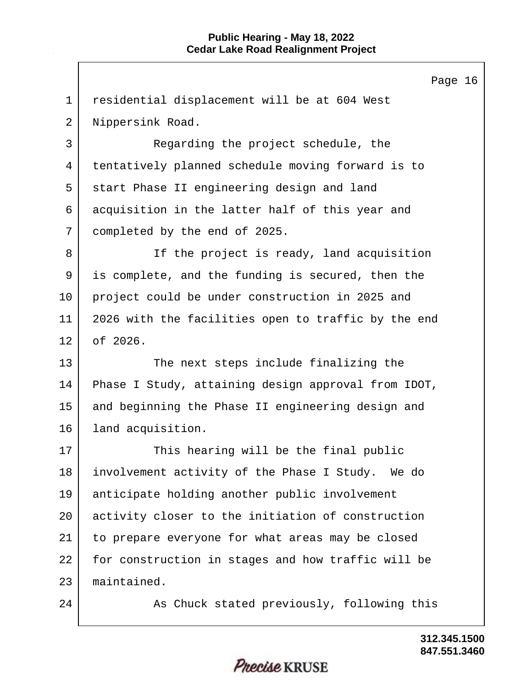Page 16 1 residential displacement will be at 604 West 2 | Nippersink Road. 3 Regarding the project schedule, the 4 tentatively planned schedule moving forward is to 5 start Phase II engineering design and land 6 acquisition in the latter half of this year and 7 completed by the end of 2025. 8 If the project is ready, land acquisition 9 is complete, and the funding is secured, then the 10 project could be under construction in 2025 and 11 2026 with the facilities open to traffic by the end 12 of 2026. 13 The next steps include finalizing the 14 Phase I Study, attaining design approval from IDOT, 15 and beginning the Phase II engineering design and 16 land acquisition. 17 This hearing will be the final public 18 involvement activity of the Phase I Study. We do 19 anticipate holding another public involvement 20 activity closer to the initiation of construction 21 to prepare everyone for what areas may be closed 22 for construction in stages and how traffic will be 23 maintained. 24 As Chuck stated previously, following this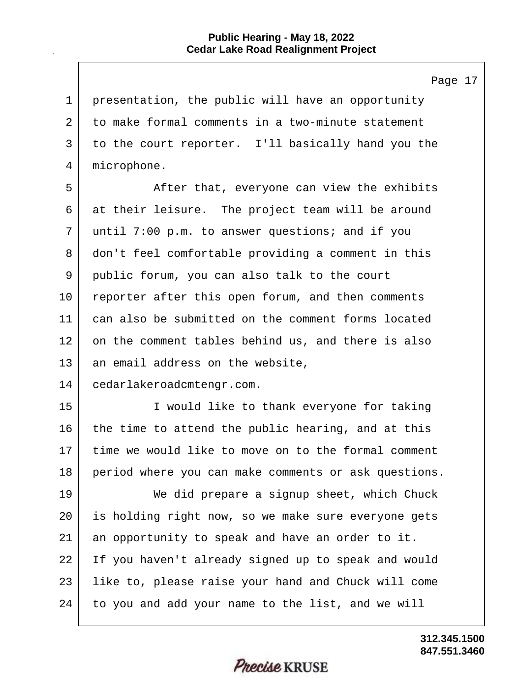Page 17

1 presentation, the public will have an opportunity to make formal comments in a two-minute statement to the court reporter. I'll basically hand you the microphone.

5 After that, everyone can view the exhibits 6 at their leisure. The project team will be around 7 until 7:00 p.m. to answer questions; and if you 8 don't feel comfortable providing a comment in this 9 public forum, you can also talk to the court 10 reporter after this open forum, and then comments 11 can also be submitted on the comment forms located 12 on the comment tables behind us, and there is also 13 an email address on the website,

14 cedarlakeroadcmtengr.com.

15 I would like to thank everyone for taking 16 the time to attend the public hearing, and at this 17 time we would like to move on to the formal comment 18 period where you can make comments or ask questions.

19 We did prepare a signup sheet, which Chuck 20 is holding right now, so we make sure everyone gets 21 an opportunity to speak and have an order to it. 22 I If you haven't already signed up to speak and would 23 like to, please raise your hand and Chuck will come 24 to you and add your name to the list, and we will

Precise KRUSE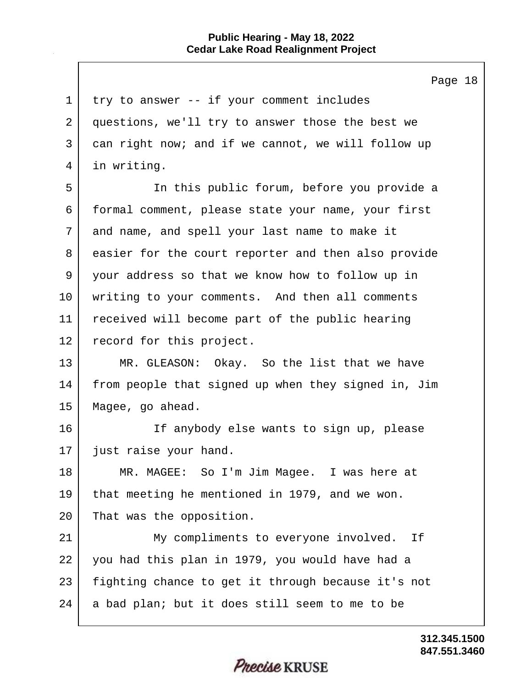$\mathbf{I}$ 

|             | Page 18                                             |
|-------------|-----------------------------------------------------|
| $\mathbf 1$ | try to answer -- if your comment includes           |
| 2           | questions, we'll try to answer those the best we    |
| 3           | can right now; and if we cannot, we will follow up  |
| 4           | in writing.                                         |
| 5           | In this public forum, before you provide a          |
| 6           | formal comment, please state your name, your first  |
| 7           | and name, and spell your last name to make it       |
| 8           | easier for the court reporter and then also provide |
| 9           | your address so that we know how to follow up in    |
| 10          | writing to your comments. And then all comments     |
| 11          | received will become part of the public hearing     |
| 12          | record for this project.                            |
| 13          | MR. GLEASON: Okay. So the list that we have         |
| 14          | from people that signed up when they signed in, Jim |
| 15          | Magee, go ahead.                                    |
| 16          | If anybody else wants to sign up, please            |
| 17          | just raise your hand.                               |
| 18          | MR. MAGEE: So I'm Jim Magee. I was here at          |
| 19          | that meeting he mentioned in 1979, and we won.      |
| 20          | That was the opposition.                            |
| 21          | My compliments to everyone involved. If             |
| 22          | you had this plan in 1979, you would have had a     |
| 23          | fighting chance to get it through because it's not  |
| 24          | a bad plan; but it does still seem to me to be      |
|             |                                                     |

**847.551.3460 312.345.1500**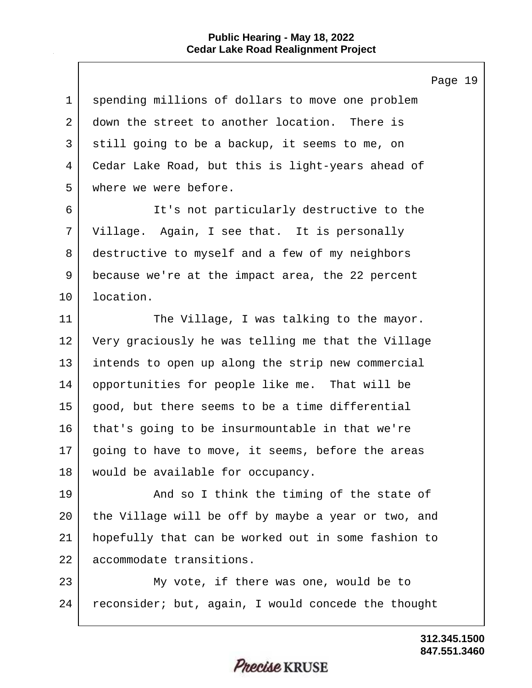|                | Page 19                                             |
|----------------|-----------------------------------------------------|
| $\mathbf{1}$   | spending millions of dollars to move one problem    |
| $\overline{2}$ | down the street to another location. There is       |
| 3              | still going to be a backup, it seems to me, on      |
| 4              | Cedar Lake Road, but this is light-years ahead of   |
| 5              | where we were before.                               |
| 6              | It's not particularly destructive to the            |
| 7              | Village. Again, I see that. It is personally        |
| 8              | destructive to myself and a few of my neighbors     |
| 9              | because we're at the impact area, the 22 percent    |
| $10 \,$        | location.                                           |
| 11             | The Village, I was talking to the mayor.            |
| 12             | Very graciously he was telling me that the Village  |
| 13             | intends to open up along the strip new commercial   |
| 14             | opportunities for people like me. That will be      |
| 15             | good, but there seems to be a time differential     |
| 16             | that's going to be insurmountable in that we're     |
| 17             | going to have to move, it seems, before the areas   |
| 18             | would be available for occupancy.                   |
| 19             | And so I think the timing of the state of           |
| 20             | the Village will be off by maybe a year or two, and |
| 21             | hopefully that can be worked out in some fashion to |
| 22             | accommodate transitions.                            |
| 23             | My vote, if there was one, would be to              |
| 24             | reconsider; but, again, I would concede the thought |
|                |                                                     |

**847.551.3460 312.345.1500**

## Precise KRUSE

 $\mathbf l$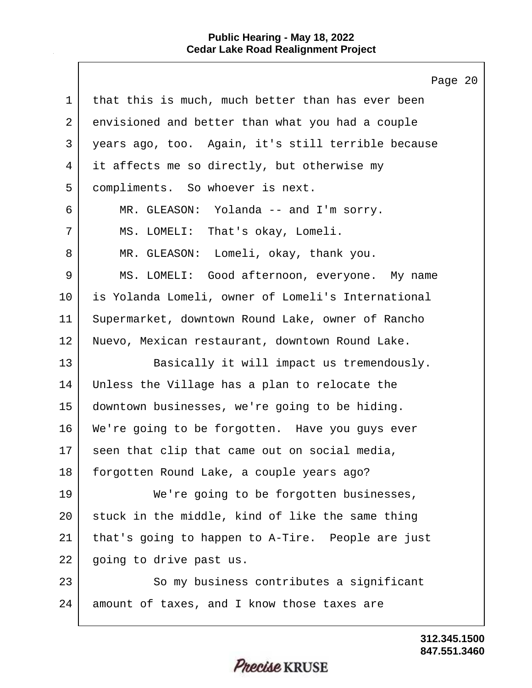$\Gamma$ 

|    | Page 20                                            |
|----|----------------------------------------------------|
| 1  | that this is much, much better than has ever been  |
| 2  | envisioned and better than what you had a couple   |
| 3  | years ago, too. Again, it's still terrible because |
| 4  | it affects me so directly, but otherwise my        |
| 5  | compliments. So whoever is next.                   |
| 6  | MR. GLEASON: Yolanda -- and I'm sorry.             |
| 7  | MS. LOMELI: That's okay, Lomeli.                   |
| 8  | MR. GLEASON: Lomeli, okay, thank you.              |
| 9  | MS. LOMELI: Good afternoon, everyone. My name      |
| 10 | is Yolanda Lomeli, owner of Lomeli's International |
| 11 | Supermarket, downtown Round Lake, owner of Rancho  |
| 12 | Nuevo, Mexican restaurant, downtown Round Lake.    |
| 13 | Basically it will impact us tremendously.          |
| 14 | Unless the Village has a plan to relocate the      |
| 15 | downtown businesses, we're going to be hiding.     |
| 16 | We're going to be forgotten. Have you guys ever    |
| 17 | seen that clip that came out on social media,      |
| 18 | forgotten Round Lake, a couple years ago?          |
| 19 | We're going to be forgotten businesses,            |
| 20 | stuck in the middle, kind of like the same thing   |
| 21 | that's going to happen to A-Tire. People are just  |
| 22 | going to drive past us.                            |
| 23 | So my business contributes a significant           |
| 24 | amount of taxes, and I know those taxes are        |
|    |                                                    |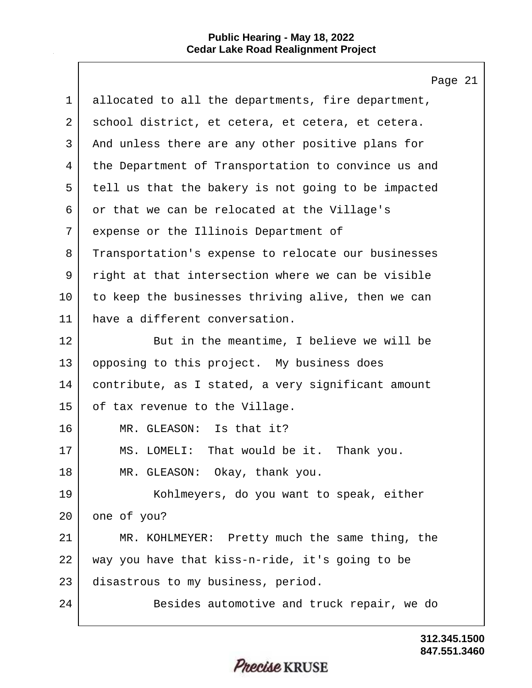$\mathbf{I}$ 

|             | Page 21                                             |
|-------------|-----------------------------------------------------|
| $\mathbf 1$ | allocated to all the departments, fire department,  |
| 2           | school district, et cetera, et cetera, et cetera.   |
| 3           | And unless there are any other positive plans for   |
| 4           | the Department of Transportation to convince us and |
| 5           | tell us that the bakery is not going to be impacted |
| 6           | or that we can be relocated at the Village's        |
| 7           | expense or the Illinois Department of               |
| 8           | Transportation's expense to relocate our businesses |
| 9           | right at that intersection where we can be visible  |
| 10          | to keep the businesses thriving alive, then we can  |
| 11          | have a different conversation.                      |
| 12          | But in the meantime, I believe we will be           |
| 13          | opposing to this project. My business does          |
| 14          | contribute, as I stated, a very significant amount  |
| 15          | of tax revenue to the Village.                      |
| 16          | MR. GLEASON: Is that it?                            |
| 17          | MS. LOMELI: That would be it. Thank you.            |
| 18          | MR. GLEASON: Okay, thank you.                       |
| 19          | Kohlmeyers, do you want to speak, either            |
| 20          | one of you?                                         |
| 21          | MR. KOHLMEYER: Pretty much the same thing, the      |
| 22          | way you have that kiss-n-ride, it's going to be     |
| 23          | disastrous to my business, period.                  |
| 24          | Besides automotive and truck repair, we do          |
|             |                                                     |

**847.551.3460 312.345.1500**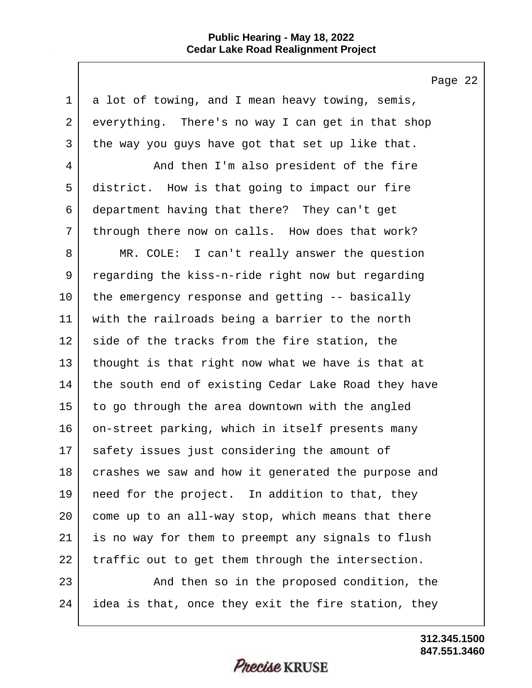Page 22

1 a lot of towing, and I mean heavy towing, semis, 2 everything. There's no way I can get in that shop 3 the way you guys have got that set up like that. 4 And then I'm also president of the fire 5 district. How is that going to impact our fire 6 department having that there? They can't get 7 through there now on calls. How does that work? 8 MR. COLE: I can't really answer the question 9 regarding the kiss-n-ride right now but regarding 10 the emergency response and getting -- basically 11 with the railroads being a barrier to the north 12 | side of the tracks from the fire station, the 13 thought is that right now what we have is that at 14 the south end of existing Cedar Lake Road they have 15 to go through the area downtown with the angled 16 on-street parking, which in itself presents many 17 safety issues just considering the amount of 18 crashes we saw and how it generated the purpose and 19 need for the project. In addition to that, they 20 come up to an all-way stop, which means that there 21 is no way for them to preempt any signals to flush 22 traffic out to get them through the intersection. 23 | The proposed condition, the 24 idea is that, once they exit the fire station, they

*Precise* KRUSE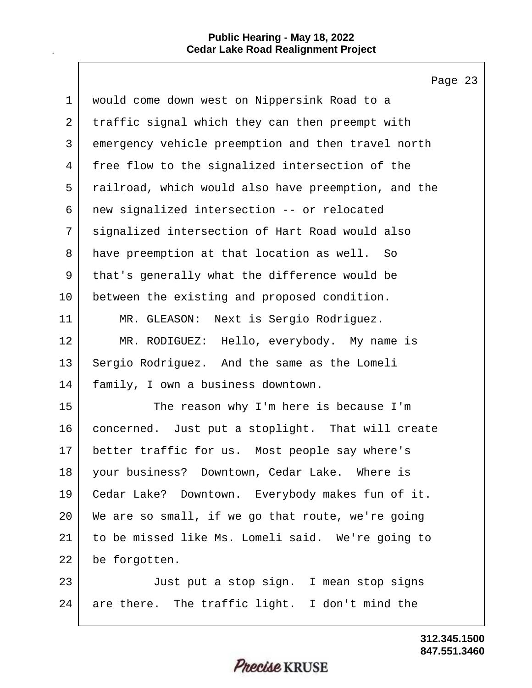$\mathbf{I}$ 

|    | Page 23                                             |
|----|-----------------------------------------------------|
| 1  | would come down west on Nippersink Road to a        |
| 2  | traffic signal which they can then preempt with     |
| 3  | emergency vehicle preemption and then travel north  |
| 4  | free flow to the signalized intersection of the     |
| 5  | railroad, which would also have preemption, and the |
| 6  | new signalized intersection -- or relocated         |
| 7  | signalized intersection of Hart Road would also     |
| 8  | have preemption at that location as well. So        |
| 9  | that's generally what the difference would be       |
| 10 | between the existing and proposed condition.        |
| 11 | MR. GLEASON: Next is Sergio Rodriguez.              |
| 12 | MR. RODIGUEZ: Hello, everybody. My name is          |
| 13 | Sergio Rodriguez. And the same as the Lomeli        |
| 14 | family, I own a business downtown.                  |
| 15 | The reason why I'm here is because I'm              |
| 16 | concerned. Just put a stoplight. That will create   |
| 17 | better traffic for us. Most people say where's      |
| 18 | your business? Downtown, Cedar Lake. Where is       |
| 19 | Cedar Lake? Downtown. Everybody makes fun of it.    |
| 20 | We are so small, if we go that route, we're going   |
| 21 | to be missed like Ms. Lomeli said. We're going to   |
| 22 | be forgotten.                                       |
| 23 | Just put a stop sign. I mean stop signs             |
| 24 | are there. The traffic light. I don't mind the      |
|    |                                                     |

**847.551.3460 312.345.1500**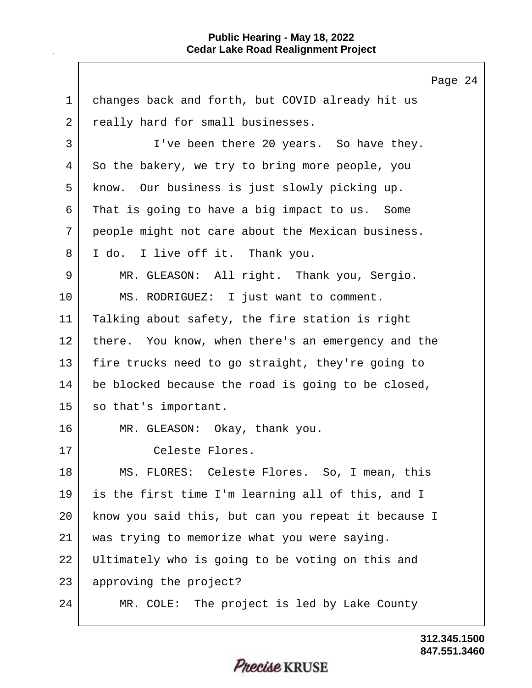Page 24 1 changes back and forth, but COVID already hit us 2 really hard for small businesses. 3 I've been there 20 years. So have they. 4 So the bakery, we try to bring more people, you 5 know. Our business is just slowly picking up. 6 That is going to have a big impact to us. Some 7 people might not care about the Mexican business. 8 I do. I live off it. Thank you. 9 MR. GLEASON: All right. Thank you, Sergio. 10 MS. RODRIGUEZ: I just want to comment. 11 Talking about safety, the fire station is right 12 there. You know, when there's an emergency and the 13 fire trucks need to go straight, they're going to 14 be blocked because the road is going to be closed, 15 so that's important. 16 MR. GLEASON: Okay, thank you. 17 Celeste Flores. 18 MS. FLORES: Celeste Flores. So, I mean, this 19 is the first time I'm learning all of this, and I 20 know you said this, but can you repeat it because I 21 was trying to memorize what you were saying. 22 Ultimately who is going to be voting on this and 23 approving the project? 24 MR. COLE: The project is led by Lake County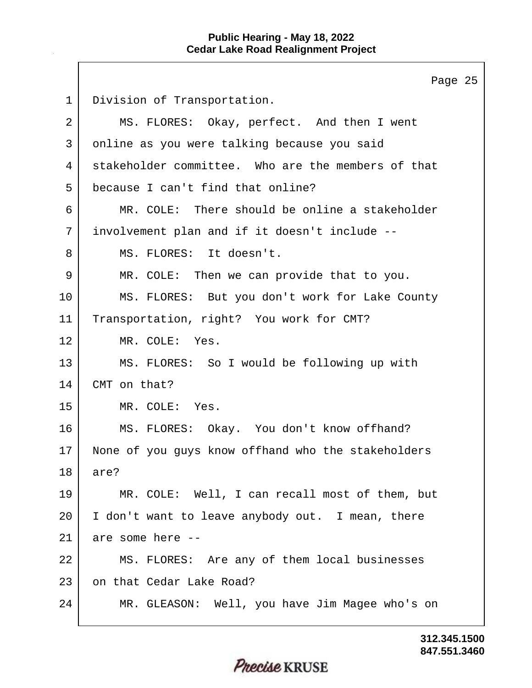|             | Page 25                                            |
|-------------|----------------------------------------------------|
| $\mathbf 1$ | Division of Transportation.                        |
| 2           | MS. FLORES: Okay, perfect. And then I went         |
| 3           | online as you were talking because you said        |
| 4           | stakeholder committee. Who are the members of that |
| 5           | because I can't find that online?                  |
| 6           | MR. COLE: There should be online a stakeholder     |
| 7           | involvement plan and if it doesn't include --      |
| 8           | MS. FLORES: It doesn't.                            |
| 9           | MR. COLE: Then we can provide that to you.         |
| 10          | MS. FLORES: But you don't work for Lake County     |
| 11          | Transportation, right? You work for CMT?           |
| 12          | MR. COLE: Yes.                                     |
| 13          | MS. FLORES: So I would be following up with        |
| 14          | CMT on that?                                       |
| 15          | MR. COLE:<br>Yes.                                  |
| 16          | MS. FLORES: Okay. You don't know offhand?          |
| 17          | None of you guys know offhand who the stakeholders |
| 18          | are?                                               |
| 19          | MR. COLE: Well, I can recall most of them, but     |
| 20          | I don't want to leave anybody out. I mean, there   |
| 21          | are some here --                                   |
| 22          | MS. FLORES: Are any of them local businesses       |
| 23          | on that Cedar Lake Road?                           |
| 24          | MR. GLEASON: Well, you have Jim Magee who's on     |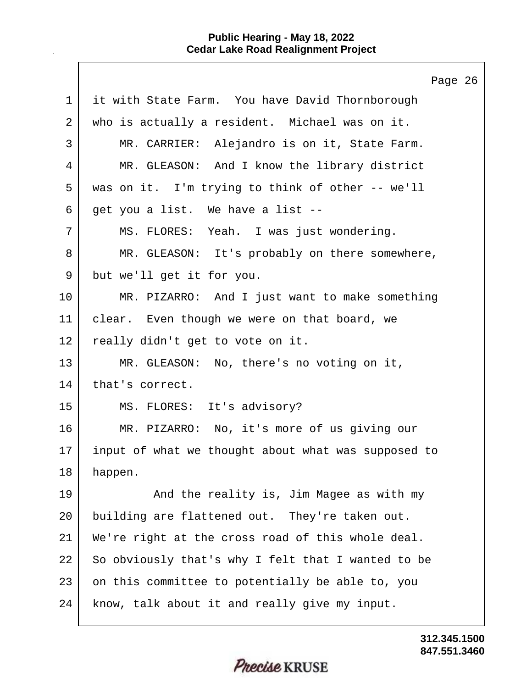Page 26 1 it with State Farm. You have David Thornborough 2 who is actually a resident. Michael was on it. 3 MR. CARRIER: Alejandro is on it, State Farm. 4 MR. GLEASON: And I know the library district 5 was on it. I'm trying to think of other -- we'll  $6$  get you a list. We have a list --7 MS. FLORES: Yeah. I was just wondering. 8 MR. GLEASON: It's probably on there somewhere, 9 but we'll get it for you. 10 MR. PIZARRO: And I just want to make something 11 clear. Even though we were on that board, we 12 really didn't get to vote on it. 13 MR. GLEASON: No, there's no voting on it, 14 | that's correct. 15 MS. FLORES: It's advisory? 16 MR. PIZARRO: No, it's more of us giving our 17 input of what we thought about what was supposed to 18 happen. 19 And the reality is, Jim Magee as with my 20 building are flattened out. They're taken out. 21 We're right at the cross road of this whole deal. 22 So obviously that's why I felt that I wanted to be 23 on this committee to potentially be able to, you 24 | know, talk about it and really give my input.

> **847.551.3460 312.345.1500**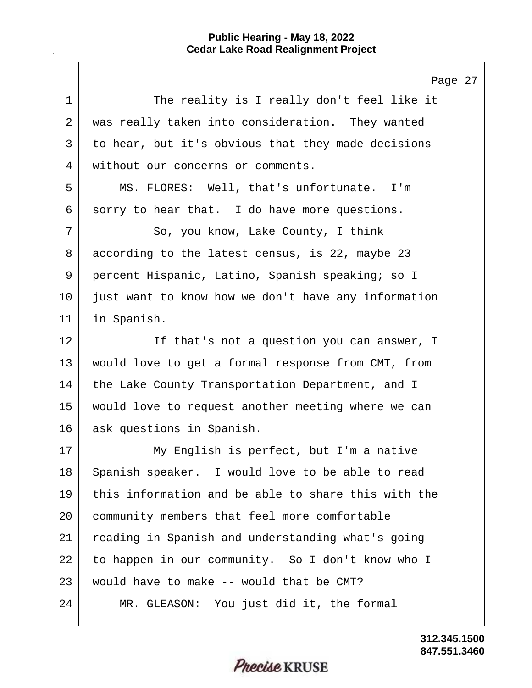$\mathbf{I}$ 

|             | Page 27                                             |
|-------------|-----------------------------------------------------|
| $\mathbf 1$ | The reality is I really don't feel like it          |
| 2           | was really taken into consideration. They wanted    |
| 3           | to hear, but it's obvious that they made decisions  |
| 4           | without our concerns or comments.                   |
| 5           | MS. FLORES: Well, that's unfortunate. I'm           |
| 6           | sorry to hear that. I do have more questions.       |
| 7           | So, you know, Lake County, I think                  |
| 8           | according to the latest census, is 22, maybe 23     |
| 9           | percent Hispanic, Latino, Spanish speaking; so I    |
| 10          | just want to know how we don't have any information |
| 11          | in Spanish.                                         |
| 12          | If that's not a question you can answer, I          |
| 13          | would love to get a formal response from CMT, from  |
| 14          | the Lake County Transportation Department, and I    |
| 15          | would love to request another meeting where we can  |
| 16          | ask questions in Spanish.                           |
| 17          | My English is perfect, but I'm a native             |
| 18          | Spanish speaker. I would love to be able to read    |
| 19          | this information and be able to share this with the |
| 20          | community members that feel more comfortable        |
| 21          | reading in Spanish and understanding what's going   |
| 22          | to happen in our community. So I don't know who I   |
| 23          | would have to make -- would that be CMT?            |
| 24          | MR. GLEASON: You just did it, the formal            |
|             |                                                     |

Precise KRUSE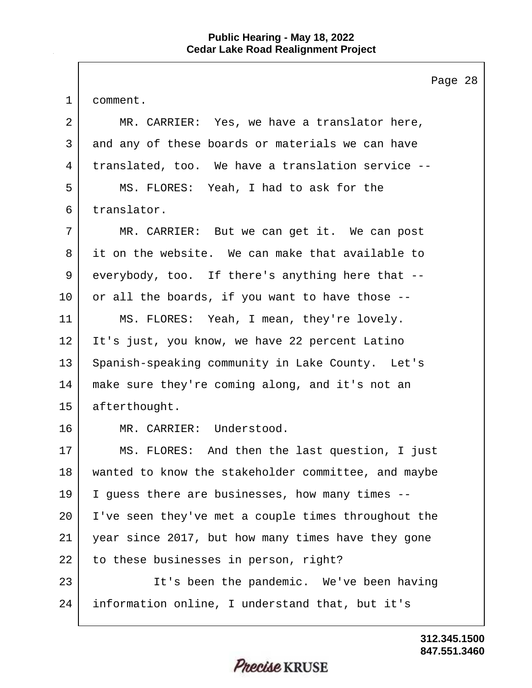Page 28 1 comment. 2 MR. CARRIER: Yes, we have a translator here, 3 and any of these boards or materials we can have 4 translated, too. We have a translation service -- 5 MS. FLORES: Yeah, I had to ask for the 6 translator. 7 MR. CARRIER: But we can get it. We can post 8 it on the website. We can make that available to 9 everybody, too. If there's anything here that --  $10$  or all the boards, if you want to have those  $-$ -11 MS. FLORES: Yeah, I mean, they're lovely. 12 It's just, you know, we have 22 percent Latino 13 Spanish-speaking community in Lake County. Let's 14 make sure they're coming along, and it's not an 15 afterthought. 16 MR. CARRIER: Understood. 17 MS. FLORES: And then the last question, I just 18 wanted to know the stakeholder committee, and maybe 19 I guess there are businesses, how many times -- 20 I've seen they've met a couple times throughout the 21 year since 2017, but how many times have they gone 22 to these businesses in person, right? 23 | It's been the pandemic. We've been having 24 information online, I understand that, but it's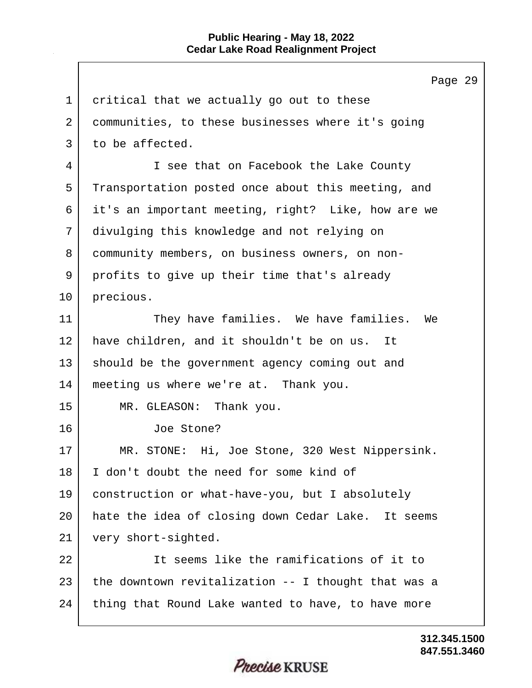|             | Page 29                                             |
|-------------|-----------------------------------------------------|
| $\mathbf 1$ | critical that we actually go out to these           |
| 2           | communities, to these businesses where it's going   |
| 3           | to be affected.                                     |
| 4           | I see that on Facebook the Lake County              |
| 5           | Transportation posted once about this meeting, and  |
| 6           | it's an important meeting, right? Like, how are we  |
| 7           | divulging this knowledge and not relying on         |
| 8           | community members, on business owners, on non-      |
| 9           | profits to give up their time that's already        |
| 10          | precious.                                           |
| 11          | They have families. We have families. We            |
| 12          | have children, and it shouldn't be on us.<br>It     |
| 13          | should be the government agency coming out and      |
| 14          | meeting us where we're at. Thank you.               |
| 15          | MR. GLEASON: Thank you.                             |
| 16          | Joe Stone?                                          |
| 17          | MR. STONE: Hi, Joe Stone, 320 West Nippersink.      |
| 18          | I don't doubt the need for some kind of             |
| 19          | construction or what-have-you, but I absolutely     |
| 20          | hate the idea of closing down Cedar Lake. It seems  |
| 21          | very short-sighted.                                 |
| 22          | It seems like the ramifications of it to            |
| 23          | the downtown revitalization -- I thought that was a |
| 24          | thing that Round Lake wanted to have, to have more  |
|             |                                                     |

Precise KRUSE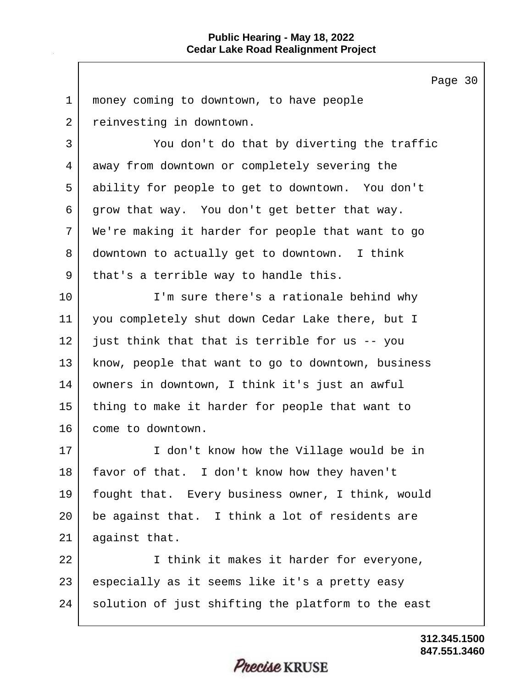Page 30 1 | money coming to downtown, to have people 2 reinvesting in downtown. 3 You don't do that by diverting the traffic 4 away from downtown or completely severing the 5 ability for people to get to downtown. You don't 6 grow that way. You don't get better that way. 7 We're making it harder for people that want to go 8 downtown to actually get to downtown. I think 9 | that's a terrible way to handle this. 10 I'm sure there's a rationale behind why 11 you completely shut down Cedar Lake there, but I 12 just think that that is terrible for us -- you 13 | know, people that want to go to downtown, business 14 owners in downtown, I think it's just an awful 15 thing to make it harder for people that want to 16 come to downtown. 17 I don't know how the Village would be in 18 | favor of that. I don't know how they haven't 19 fought that. Every business owner, I think, would 20 be against that. I think a lot of residents are 21 against that. 22 | I think it makes it harder for everyone, 23 especially as it seems like it's a pretty easy 24 solution of just shifting the platform to the east

#### **847.551.3460 312.345.1500**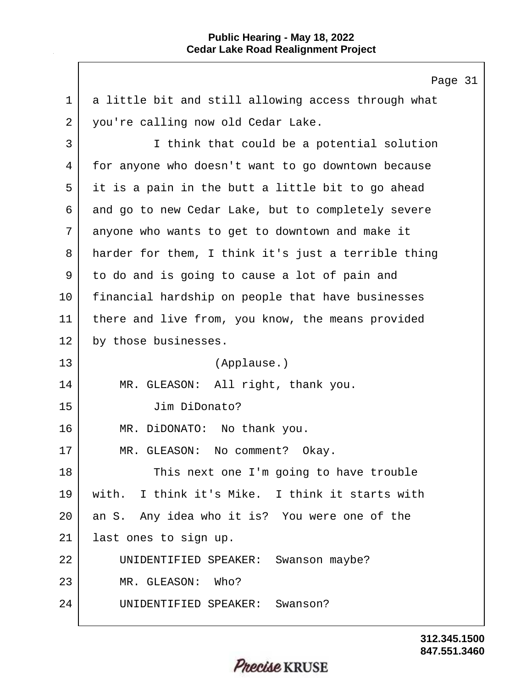$\mathbf{I}$ 

|                | Page 31                                             |
|----------------|-----------------------------------------------------|
| 1              | a little bit and still allowing access through what |
| $\overline{2}$ | you're calling now old Cedar Lake.                  |
| 3              | I think that could be a potential solution          |
| 4              | for anyone who doesn't want to go downtown because  |
| 5              | it is a pain in the butt a little bit to go ahead   |
| 6              | and go to new Cedar Lake, but to completely severe  |
| 7              | anyone who wants to get to downtown and make it     |
| 8              | harder for them, I think it's just a terrible thing |
| 9              | to do and is going to cause a lot of pain and       |
| 10             | financial hardship on people that have businesses   |
| 11             | there and live from, you know, the means provided   |
| 12             | by those businesses.                                |
| 13             | (Applause.)                                         |
| 14             | MR. GLEASON: All right, thank you.                  |
| 15             | Jim DiDonato?                                       |
| 16             | MR. DiDONATO: No thank you.                         |
| 17             | MR. GLEASON: No comment? Okay.                      |
| 18             | This next one I'm going to have trouble             |
| 19             | with. I think it's Mike. I think it starts with     |
| 20             | an S. Any idea who it is? You were one of the       |
| 21             | last ones to sign up.                               |
| 22             | UNIDENTIFIED SPEAKER: Swanson maybe?                |
| 23             | MR. GLEASON: Who?                                   |
| 24             | UNIDENTIFIED SPEAKER: Swanson?                      |
|                |                                                     |

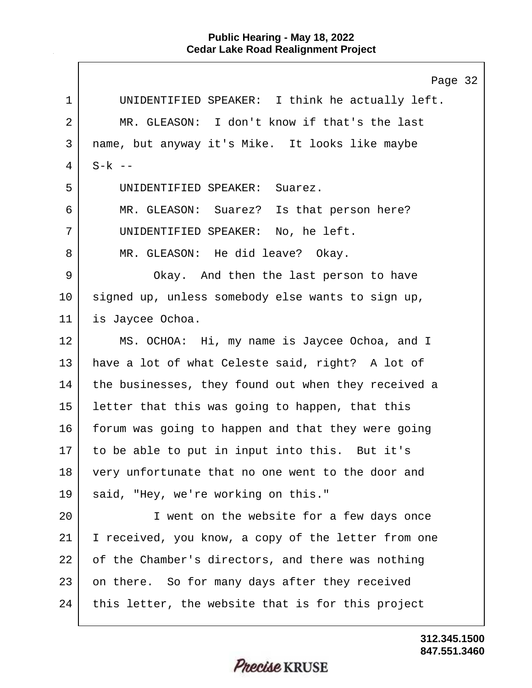|    | Page 32                                             |
|----|-----------------------------------------------------|
| 1  | UNIDENTIFIED SPEAKER: I think he actually left.     |
| 2  | MR. GLEASON: I don't know if that's the last        |
| 3  | name, but anyway it's Mike. It looks like maybe     |
| 4  | $S-k$ --                                            |
| 5  | UNIDENTIFIED SPEAKER:<br>Suarez.                    |
| 6  | MR. GLEASON: Suarez? Is that person here?           |
| 7  | UNIDENTIFIED SPEAKER: No, he left.                  |
| 8  | MR. GLEASON: He did leave? Okay.                    |
| 9  | Okay. And then the last person to have              |
| 10 | signed up, unless somebody else wants to sign up,   |
| 11 | is Jaycee Ochoa.                                    |
| 12 | MS. OCHOA: Hi, my name is Jaycee Ochoa, and I       |
| 13 | have a lot of what Celeste said, right? A lot of    |
| 14 | the businesses, they found out when they received a |
| 15 | letter that this was going to happen, that this     |
| 16 | forum was going to happen and that they were going  |
| 17 | to be able to put in input into this. But it's      |
| 18 | very unfortunate that no one went to the door and   |
| 19 | said, "Hey, we're working on this."                 |
| 20 | I went on the website for a few days once           |
| 21 | I received, you know, a copy of the letter from one |
| 22 | of the Chamber's directors, and there was nothing   |
| 23 | on there. So for many days after they received      |
| 24 | this letter, the website that is for this project   |

**847.551.3460 312.345.1500**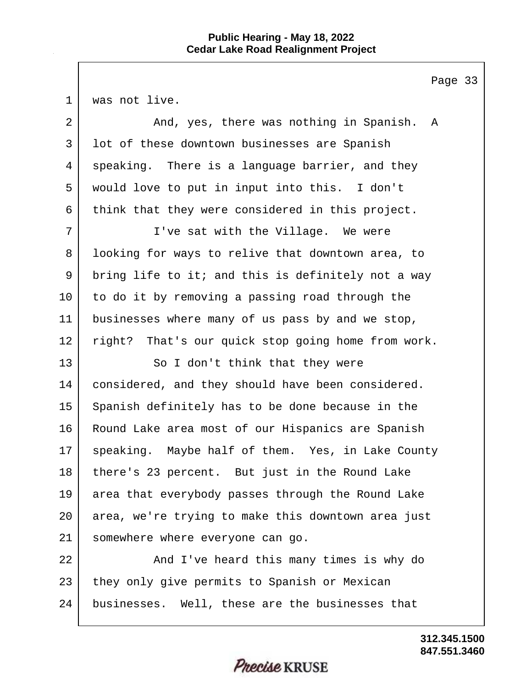Page 33

1 | was not live.

| $\overline{2}$ | And, yes, there was nothing in Spanish. A          |
|----------------|----------------------------------------------------|
| 3              | lot of these downtown businesses are Spanish       |
| 4              | speaking. There is a language barrier, and they    |
| 5              | would love to put in input into this. I don't      |
| 6              | think that they were considered in this project.   |
| 7              | I've sat with the Village. We were                 |
| 8              | looking for ways to relive that downtown area, to  |
| 9              | bring life to it; and this is definitely not a way |
| 10             | to do it by removing a passing road through the    |
| 11             | businesses where many of us pass by and we stop,   |
| 12             | right? That's our quick stop going home from work. |
| 13             | So I don't think that they were                    |
| 14             | considered, and they should have been considered.  |
| 15             | Spanish definitely has to be done because in the   |
| 16             | Round Lake area most of our Hispanics are Spanish  |
| 17             | speaking. Maybe half of them. Yes, in Lake County  |
| 18             | there's 23 percent. But just in the Round Lake     |
| 19             | area that everybody passes through the Round Lake  |
| 20             | area, we're trying to make this downtown area just |
| 21             | somewhere where everyone can go.                   |
| 22             | And I've heard this many times is why do           |
| 23             | they only give permits to Spanish or Mexican       |
| 24             | businesses. Well, these are the businesses that    |
|                |                                                    |
|                |                                                    |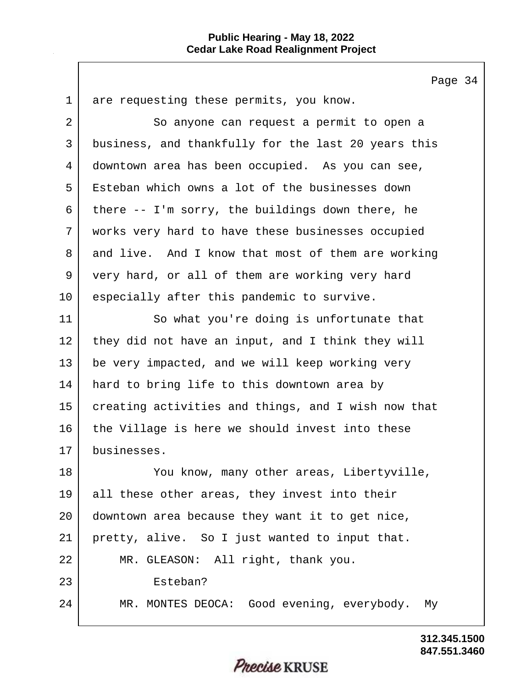Page 34 1 are requesting these permits, you know. 2 So anyone can request a permit to open a 3 business, and thankfully for the last 20 years this 4 downtown area has been occupied. As you can see, 5 Esteban which owns a lot of the businesses down 6 there  $-$ - I'm sorry, the buildings down there, he 7 works very hard to have these businesses occupied 8 and live. And I know that most of them are working 9 very hard, or all of them are working very hard 10 especially after this pandemic to survive. 11 So what you're doing is unfortunate that 12 they did not have an input, and I think they will 13 be very impacted, and we will keep working very 14 hard to bring life to this downtown area by 15 creating activities and things, and I wish now that 16 the Village is here we should invest into these 17 businesses. 18 You know, many other areas, Libertyville, 19 all these other areas, they invest into their 20 downtown area because they want it to get nice, 21 | pretty, alive. So I just wanted to input that. 22 MR. GLEASON: All right, thank you. 23 Esteban? 24 MR. MONTES DEOCA: Good evening, everybody. My

#### **847.551.3460 312.345.1500**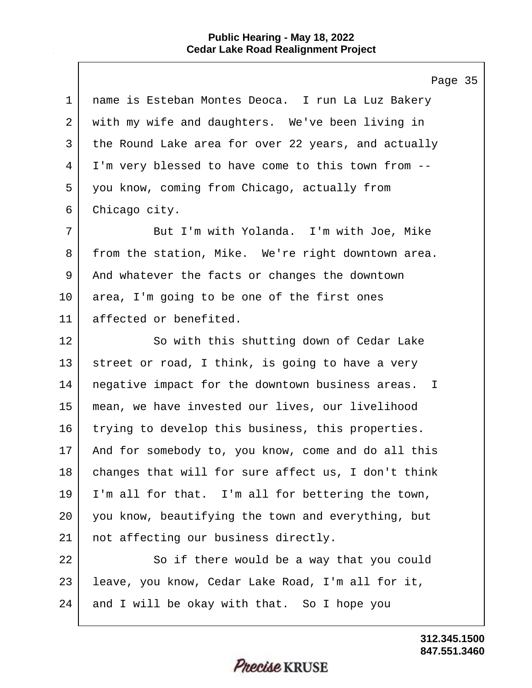$\mathbf{I}$ 

|             | Page 35                                             |
|-------------|-----------------------------------------------------|
| $\mathbf 1$ | name is Esteban Montes Deoca. I run La Luz Bakery   |
| 2           | with my wife and daughters. We've been living in    |
| 3           | the Round Lake area for over 22 years, and actually |
| 4           | I'm very blessed to have come to this town from --  |
| 5           | you know, coming from Chicago, actually from        |
| 6           | Chicago city.                                       |
| 7           | But I'm with Yolanda. I'm with Joe, Mike            |
| 8           | from the station, Mike. We're right downtown area.  |
| 9           | And whatever the facts or changes the downtown      |
| 10          | area, I'm going to be one of the first ones         |
| 11          | affected or benefited.                              |
| 12          | So with this shutting down of Cedar Lake            |
| 13          | street or road, I think, is going to have a very    |
| 14          | negative impact for the downtown business areas. I  |
| 15          | mean, we have invested our lives, our livelihood    |
| 16          | trying to develop this business, this properties.   |
| 17          | And for somebody to, you know, come and do all this |
| 18          | changes that will for sure affect us, I don't think |
| 19          | I'm all for that. I'm all for bettering the town,   |
| 20          | you know, beautifying the town and everything, but  |
| 21          | not affecting our business directly.                |
| 22          | So if there would be a way that you could           |
| 23          | leave, you know, Cedar Lake Road, I'm all for it,   |
| 24          | and I will be okay with that. So I hope you         |
|             |                                                     |

**847.551.3460 312.345.1500**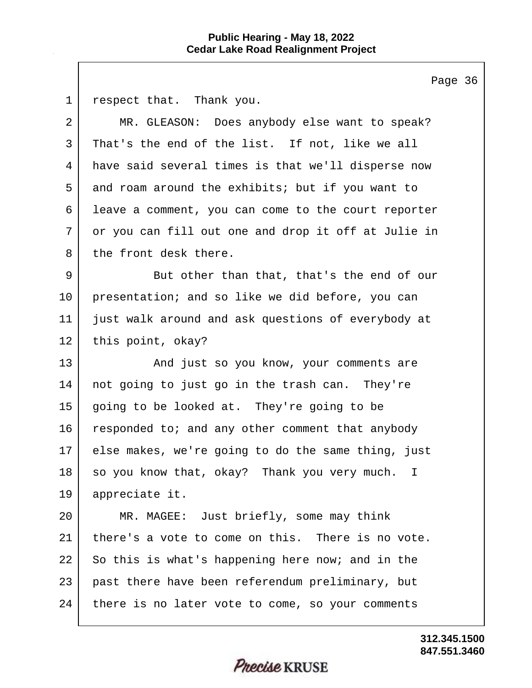Page 36 1 respect that. Thank you. 2 MR. GLEASON: Does anybody else want to speak? 3 That's the end of the list. If not, like we all 4 have said several times is that we'll disperse now 5 and roam around the exhibits; but if you want to 6 leave a comment, you can come to the court reporter 7 or you can fill out one and drop it off at Julie in 8 the front desk there. 9 But other than that, that's the end of our 10 presentation; and so like we did before, you can 11 just walk around and ask questions of everybody at 12 this point, okay? 13 And just so you know, your comments are 14 not going to just go in the trash can. They're 15 going to be looked at. They're going to be 16 responded to; and any other comment that anybody 17 else makes, we're going to do the same thing, just 18 so you know that, okay? Thank you very much. I 19 appreciate it. 20 MR. MAGEE: Just briefly, some may think 21 there's a vote to come on this. There is no vote. 22 So this is what's happening here now; and in the 23 past there have been referendum preliminary, but 24 there is no later vote to come, so your comments

> **847.551.3460 312.345.1500**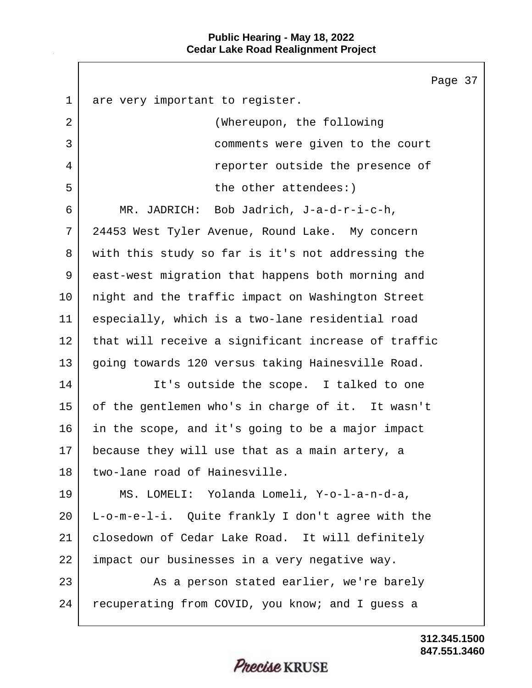$\mathbf{I}$ 

|             | Page                                                |
|-------------|-----------------------------------------------------|
| $\mathbf 1$ | are very important to register.                     |
| 2           | (Whereupon, the following                           |
| 3           | comments were given to the court                    |
| 4           | reporter outside the presence of                    |
| 5           | the other attendees:)                               |
| 6           | MR. JADRICH: Bob Jadrich, J-a-d-r-i-c-h,            |
| 7           | 24453 West Tyler Avenue, Round Lake. My concern     |
| 8           | with this study so far is it's not addressing the   |
| 9           | east-west migration that happens both morning and   |
| 10          | night and the traffic impact on Washington Street   |
| 11          | especially, which is a two-lane residential road    |
| 12          | that will receive a significant increase of traffic |
| 13          | going towards 120 versus taking Hainesville Road.   |
| 14          | It's outside the scope. I talked to one             |
| 15          | of the gentlemen who's in charge of it. It wasn't   |
| 16          | in the scope, and it's going to be a major impact   |
| 17          | because they will use that as a main artery, a      |
| 18          | two-lane road of Hainesville.                       |
| 19          | MS. LOMELI: Yolanda Lomeli, Y-o-l-a-n-d-a,          |
| 20          | L-o-m-e-l-i. Quite frankly I don't agree with the   |
| 21          | closedown of Cedar Lake Road. It will definitely    |
| 22          | impact our businesses in a very negative way.       |
| 23          | As a person stated earlier, we're barely            |
| 24          | recuperating from COVID, you know; and I guess a    |
|             |                                                     |

**847.551.3460 312.345.1500**

37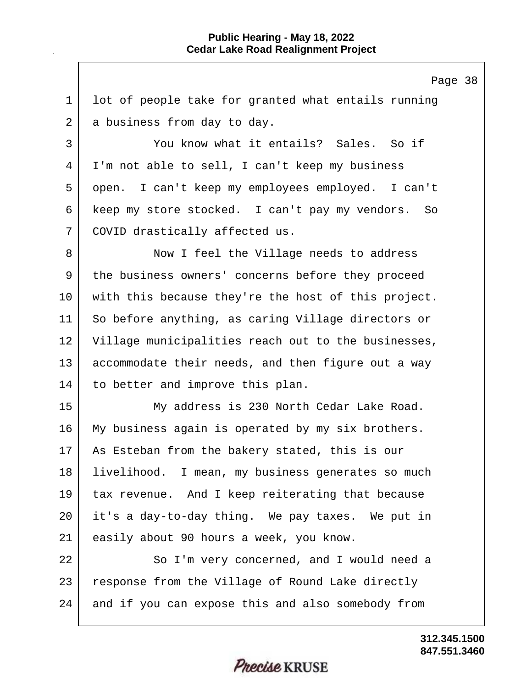Page 38 1 lot of people take for granted what entails running 2 a business from day to day. 3 You know what it entails? Sales. So if 4 I'm not able to sell, I can't keep my business 5 open. I can't keep my employees employed. I can't 6 keep my store stocked. I can't pay my vendors. So 7 | COVID drastically affected us. 8 Now I feel the Village needs to address 9 | the business owners' concerns before they proceed 10 with this because they're the host of this project. 11 So before anything, as caring Village directors or 12 Village municipalities reach out to the businesses, 13 accommodate their needs, and then figure out a way 14 to better and improve this plan. 15 My address is 230 North Cedar Lake Road. 16 My business again is operated by my six brothers. 17 | As Esteban from the bakery stated, this is our 18 | livelihood. I mean, my business generates so much 19 tax revenue. And I keep reiterating that because 20 it's a day-to-day thing. We pay taxes. We put in 21 easily about 90 hours a week, you know. 22 So I'm very concerned, and I would need a 23 | response from the Village of Round Lake directly 24 and if you can expose this and also somebody from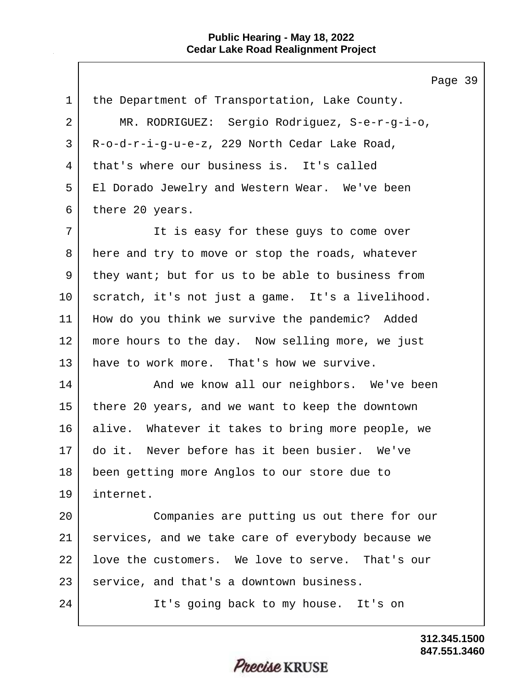|             | Page 39                                            |
|-------------|----------------------------------------------------|
| $\mathbf 1$ | the Department of Transportation, Lake County.     |
| 2           | MR. RODRIGUEZ: Sergio Rodriguez, S-e-r-g-i-o,      |
| 3           | R-o-d-r-i-g-u-e-z, 229 North Cedar Lake Road,      |
| 4           | that's where our business is. It's called          |
| 5           | El Dorado Jewelry and Western Wear. We've been     |
| 6           | there 20 years.                                    |
| 7           | It is easy for these guys to come over             |
| 8           | here and try to move or stop the roads, whatever   |
| 9           | they want; but for us to be able to business from  |
| 10          | scratch, it's not just a game. It's a livelihood.  |
| 11          | How do you think we survive the pandemic? Added    |
| 12          | more hours to the day. Now selling more, we just   |
| 13          | have to work more. That's how we survive.          |
| 14          | And we know all our neighbors. We've been          |
| 15          | there 20 years, and we want to keep the downtown   |
| 16          | alive. Whatever it takes to bring more people, we  |
| 17          | do it. Never before has it been busier. We've      |
| 18          | been getting more Anglos to our store due to       |
| 19          | internet.                                          |
| 20          | Companies are putting us out there for our         |
| 21          | services, and we take care of everybody because we |
| 22          | love the customers. We love to serve. That's our   |
| 23          | service, and that's a downtown business.           |
| 24          | It's going back to my house. It's on               |
|             |                                                    |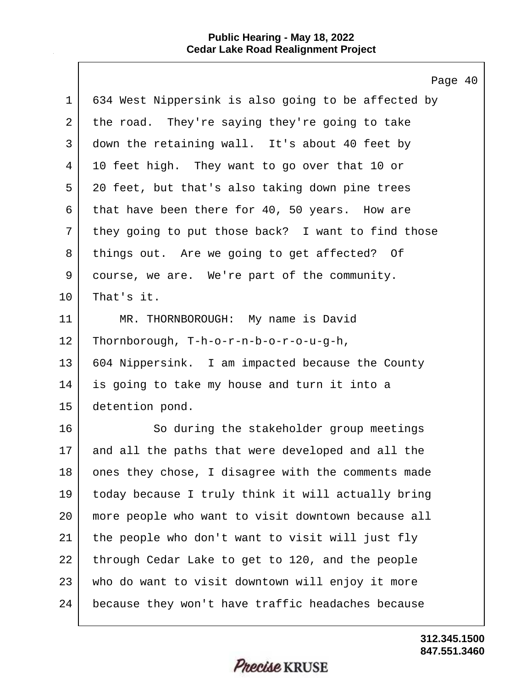$\mathbf{I}$ 

|             | Page 40                                             |
|-------------|-----------------------------------------------------|
| $\mathbf 1$ | 634 West Nippersink is also going to be affected by |
| 2           | the road. They're saying they're going to take      |
| 3           | down the retaining wall. It's about 40 feet by      |
| 4           | 10 feet high. They want to go over that 10 or       |
| 5           | 20 feet, but that's also taking down pine trees     |
| 6           | that have been there for 40, 50 years. How are      |
| 7           | they going to put those back? I want to find those  |
| 8           | things out. Are we going to get affected? Of        |
| 9           | course, we are. We're part of the community.        |
| 10          | That's it.                                          |
| 11          | MR. THORNBOROUGH: My name is David                  |
| 12          | Thornborough, T-h-o-r-n-b-o-r-o-u-g-h,              |
| 13          | 604 Nippersink. I am impacted because the County    |
| 14          | is going to take my house and turn it into a        |
| 15          | detention pond.                                     |
| 16          | So during the stakeholder group meetings            |
| 17          | and all the paths that were developed and all the   |
| 18          | ones they chose, I disagree with the comments made  |
| 19          | today because I truly think it will actually bring  |
| 20          | more people who want to visit downtown because all  |
| 21          | the people who don't want to visit will just fly    |
| 22          | through Cedar Lake to get to 120, and the people    |
| 23          | who do want to visit downtown will enjoy it more    |
| 24          | because they won't have traffic headaches because   |

**847.551.3460 312.345.1500**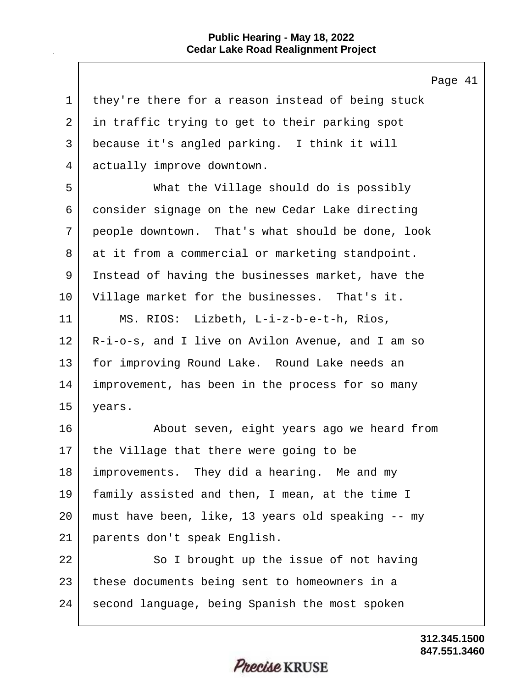$\mathsf{l}$ 

|             | Page 41                                           |
|-------------|---------------------------------------------------|
| $\mathbf 1$ | they're there for a reason instead of being stuck |
| 2           | in traffic trying to get to their parking spot    |
| 3           | because it's angled parking. I think it will      |
| 4           | actually improve downtown.                        |
| 5           | What the Village should do is possibly            |
| 6           | consider signage on the new Cedar Lake directing  |
| 7           | people downtown. That's what should be done, look |
| 8           | at it from a commercial or marketing standpoint.  |
| 9           | Instead of having the businesses market, have the |
| 10          | Village market for the businesses. That's it.     |
| 11          | MS. RIOS: Lizbeth, L-i-z-b-e-t-h, Rios,           |
| 12          | R-i-o-s, and I live on Avilon Avenue, and I am so |
| 13          | for improving Round Lake. Round Lake needs an     |
| 14          | improvement, has been in the process for so many  |
| 15          | years.                                            |
| 16          | About seven, eight years ago we heard from        |
| 17          | the Village that there were going to be           |
| 18          | improvements. They did a hearing. Me and my       |
| 19          | family assisted and then, I mean, at the time I   |
| 20          | must have been, like, 13 years old speaking -- my |
| 21          | parents don't speak English.                      |
| 22          | So I brought up the issue of not having           |
| 23          | these documents being sent to homeowners in a     |
| 24          | second language, being Spanish the most spoken    |
|             |                                                   |

**847.551.3460 312.345.1500**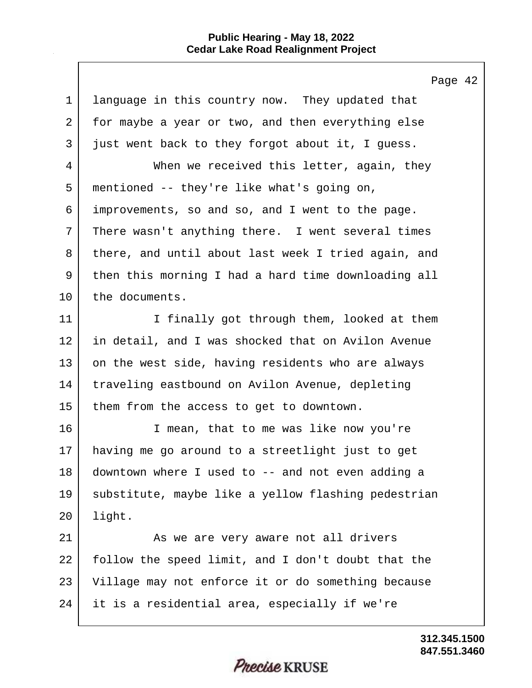|             | Page                                                |
|-------------|-----------------------------------------------------|
| $\mathbf 1$ | language in this country now. They updated that     |
| 2           | for maybe a year or two, and then everything else   |
| 3           | just went back to they forgot about it, I guess.    |
| 4           | When we received this letter, again, they           |
| 5           | mentioned -- they're like what's going on,          |
| 6           | improvements, so and so, and I went to the page.    |
| 7           | There wasn't anything there. I went several times   |
| 8           | there, and until about last week I tried again, and |
| 9           | then this morning I had a hard time downloading all |
| 10          | the documents.                                      |
| 11          | I finally got through them, looked at them          |
| 12          | in detail, and I was shocked that on Avilon Avenue  |
| 13          | on the west side, having residents who are always   |
| 14          | traveling eastbound on Avilon Avenue, depleting     |
| 15          | them from the access to get to downtown.            |
| 16          | I mean, that to me was like now you're              |
| 17          | having me go around to a streetlight just to get    |
| 18          | downtown where I used to -- and not even adding a   |
| 19          | substitute, maybe like a yellow flashing pedestrian |
| 20          | light.                                              |
| 21          | As we are very aware not all drivers                |
| 22          | follow the speed limit, and I don't doubt that the  |
| 23          | Village may not enforce it or do something because  |
| 24          | it is a residential area, especially if we're       |
|             |                                                     |

**847.551.3460 312.345.1500**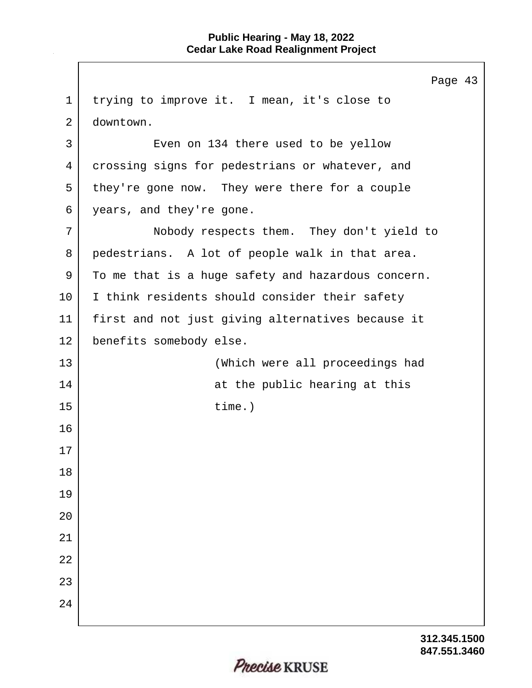|             | Page 43                                            |
|-------------|----------------------------------------------------|
| $\mathbf 1$ | trying to improve it. I mean, it's close to        |
| 2           | downtown.                                          |
| 3           | Even on 134 there used to be yellow                |
| 4           | crossing signs for pedestrians or whatever, and    |
| 5           | they're gone now. They were there for a couple     |
| 6           | years, and they're gone.                           |
| 7           | Nobody respects them. They don't yield to          |
| 8           | pedestrians. A lot of people walk in that area.    |
| 9           | To me that is a huge safety and hazardous concern. |
| 10          | I think residents should consider their safety     |
| 11          | first and not just giving alternatives because it  |
| 12          | benefits somebody else.                            |
| 13          | (Which were all proceedings had                    |
| 14          | at the public hearing at this                      |
| 15          | $time.$ )                                          |
| 16          |                                                    |
| 17          |                                                    |
| 18          |                                                    |
| 19          |                                                    |
| 20          |                                                    |
| 21          |                                                    |
| 22          |                                                    |
| 23          |                                                    |
| 24          |                                                    |
|             |                                                    |

**847.551.3460 312.345.1500**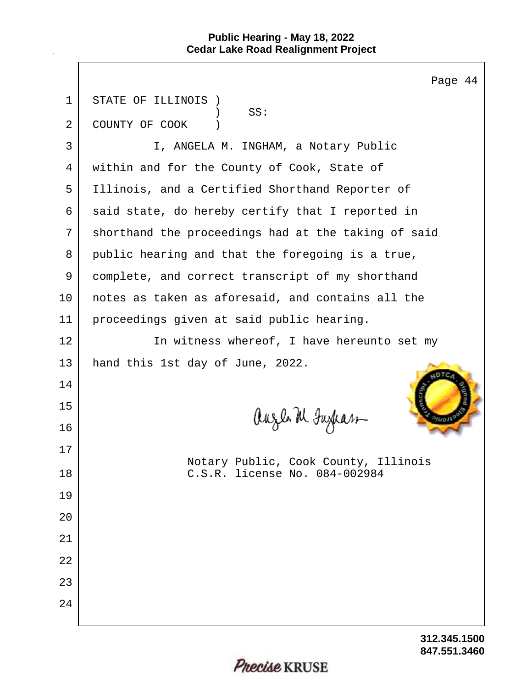|              | Page 44                                                               |
|--------------|-----------------------------------------------------------------------|
| $\mathbf{1}$ | STATE OF ILLINOIS                                                     |
| 2            | SS:<br>COUNTY OF COOK                                                 |
| $\mathsf{3}$ | I, ANGELA M. INGHAM, a Notary Public                                  |
| 4            | within and for the County of Cook, State of                           |
| 5            | Illinois, and a Certified Shorthand Reporter of                       |
| 6            | said state, do hereby certify that I reported in                      |
| 7            | shorthand the proceedings had at the taking of said                   |
| 8            | public hearing and that the foregoing is a true,                      |
| 9            | complete, and correct transcript of my shorthand                      |
| $10 \,$      | notes as taken as aforesaid, and contains all the                     |
| 11           | proceedings given at said public hearing.                             |
| 12           | In witness whereof, I have hereunto set my                            |
| 13           | hand this 1st day of June, 2022.                                      |
| 14           |                                                                       |
| 15           |                                                                       |
| 16           | auzh M Juxkas                                                         |
| 17           |                                                                       |
| 18           | Notary Public, Cook County, Illinois<br>C.S.R. license No. 084-002984 |
| 19           |                                                                       |
| 20           |                                                                       |
| 21           |                                                                       |
| 22           |                                                                       |
| 23           |                                                                       |
| 24           |                                                                       |
|              |                                                                       |

**847.551.3460 312.345.1500**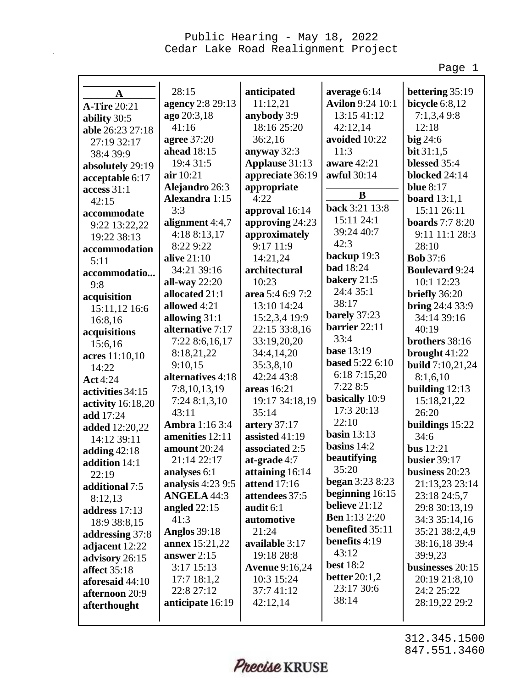Page 1

| A                     | 28:15                 | anticipated           | average 6:14            | bettering 35:19         |
|-----------------------|-----------------------|-----------------------|-------------------------|-------------------------|
| <b>A-Tire 20:21</b>   | agency 2:8 29:13      | 11:12,21              | <b>Avilon</b> 9:24 10:1 | <b>bicycle</b> 6:8,12   |
| ability 30:5          | ago 20:3,18           | anybody 3:9           | 13:15 41:12             | 7:1,3,49:8              |
| able 26:23 27:18      | 41:16                 | 18:16 25:20           | 42:12,14                | 12:18                   |
| 27:19 32:17           | agree 37:20           | 36:2,16               | avoided 10:22           | big 24:6                |
| 38:4 39:9             | ahead 18:15           | anyway $32:3$         | 11:3                    | bit $31:1,5$            |
| absolutely 29:19      | 19:4 31:5             | Applause 31:13        | aware 42:21             | blessed 35:4            |
| acceptable 6:17       | air 10:21             | appreciate 36:19      | awful 30:14             | blocked 24:14           |
| access 31:1           | Alejandro 26:3        | appropriate           | $\bf{B}$                | <b>blue</b> 8:17        |
| 42:15                 | Alexandra 1:15        | 4:22                  | back 3:21 13:8          | board $13:1,1$          |
| accommodate           | 3:3                   | approval 16:14        |                         | 15:11 26:11             |
| 9:22 13:22,22         | alignment 4:4,7       | approving 24:23       | 15:11 24:1              | <b>boards</b> 7:7 8:20  |
| 19:22 38:13           | 4:18 8:13,17          | approximately         | 39:24 40:7              | 9:11 11:1 28:3          |
| accommodation         | 8:22 9:22             | 9:17 11:9             | 42:3                    | 28:10                   |
| 5:11                  | <b>alive</b> 21:10    | 14:21,24              | backup 19:3             | <b>Bob</b> 37:6         |
| accommodatio          | 34:21 39:16           | architectural         | <b>bad</b> 18:24        | <b>Boulevard 9:24</b>   |
| 9:8                   | all-way $22:20$       | 10:23                 | bakery 21:5             | 10:1 12:23              |
| acquisition           | allocated 21:1        | area 5:4 6:9 7:2      | 24:4 35:1               | briefly 36:20           |
| 15:11,12 16:6         | allowed 4:21          | 13:10 14:24           | 38:17                   | <b>bring</b> 24:4 33:9  |
| 16:8,16               | allowing 31:1         | 15:2,3,4 19:9         | barely 37:23            | 34:14 39:16             |
| acquisitions          | alternative 7:17      | 22:15 33:8,16         | barrier 22:11           | 40:19                   |
| 15:6,16               | 7:22 8:6,16,17        | 33:19,20,20           | 33:4                    | brothers 38:16          |
| acres 11:10,10        | 8:18,21,22            | 34:4,14,20            | <b>base</b> 13:19       | brought $41:22$         |
| 14:22                 | 9:10,15               | 35:3,8,10             | <b>based 5:22 6:10</b>  | <b>build</b> 7:10,21,24 |
| <b>Act</b> 4:24       | alternatives 4:18     | 42:24 43:8            | 6:18 7:15,20            | 8:1,6,10                |
| activities 34:15      | 7:8,10,13,19          | areas 16:21           | 7:22 8:5                | building $12:13$        |
| activity 16:18,20     | 7:24 8:1,3,10         | 19:17 34:18,19        | basically 10:9          | 15:18,21,22             |
| add 17:24             | 43:11                 | 35:14                 | 17:3 20:13              | 26:20                   |
| <b>added</b> 12:20,22 | <b>Ambra</b> 1:16 3:4 | artery $37:17$        | 22:10                   | buildings 15:22         |
| 14:12 39:11           | amenities 12:11       | assisted 41:19        | basin $13:13$           | 34:6                    |
| adding $42:18$        | amount 20:24          | associated 2:5        | basins $14:2$           | bus $12:21$             |
| addition 14:1         | 21:14 22:17           | at-grade 4:7          | beautifying             | <b>busier</b> 39:17     |
| 22:19                 | analyses 6:1          | attaining 16:14       | 35:20                   | business $20:23$        |
| additional 7:5        | analysis 4:23 9:5     | attend 17:16          | <b>began</b> $3:238:23$ | 21:13,23 23:14          |
| 8:12,13               | <b>ANGELA 44:3</b>    | attendees 37:5        | beginning 16:15         | 23:18 24:5,7            |
| address 17:13         | angled $22:15$        | audit $6:1$           | believe $21:12$         | 29:8 30:13,19           |
| 18:9 38:8,15          | 41:3                  | automotive            | <b>Ben</b> 1:13 2:20    | 34:3 35:14,16           |
| addressing 37:8       | <b>Anglos</b> 39:18   | 21:24                 | benefited 35:11         | 35:21 38:2,4,9          |
| adjacent 12:22        | <b>annex</b> 15:21,22 | available 3:17        | benefits 4:19           | 38:16,18 39:4           |
| advisory 26:15        | answer $2:15$         | 19:18 28:8            | 43:12                   | 39:9,23                 |
| <b>affect</b> 35:18   | 3:17 15:13            | <b>Avenue</b> 9:16,24 | <b>best</b> 18:2        | businesses 20:15        |
| aforesaid 44:10       | $17:7$ 18:1,2         | 10:3 15:24            | better $20:1,2$         | 20:19 21:8,10           |
| afternoon 20:9        | 22:8 27:12            | 37:7 41:12            | 23:17 30:6              | 24:2 25:22              |
| afterthought          | anticipate 16:19      | 42:12,14              | 38:14                   | 28:19,22 29:2           |
|                       |                       |                       |                         |                         |

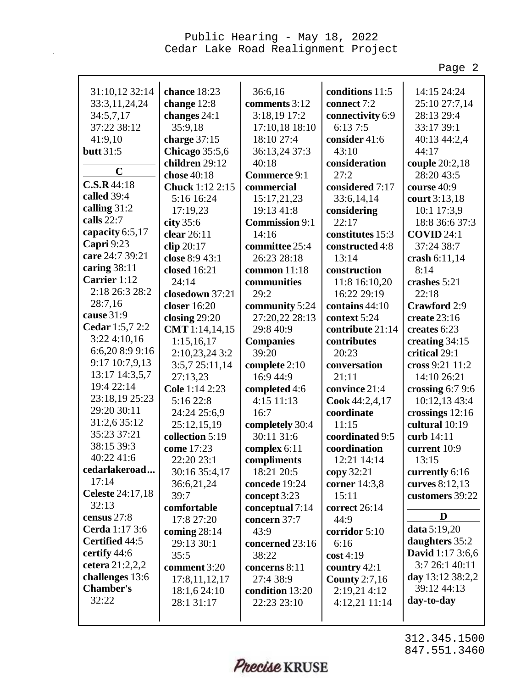Page 2

| 31:10,12 32:14    | chance 18:23           | 36:6,16               | conditions 11:5  | 14:15 24:24             |
|-------------------|------------------------|-----------------------|------------------|-------------------------|
| 33:3,11,24,24     | change 12:8            | comments 3:12         | connect 7:2      | 25:10 27:7,14           |
| 34:5,7,17         | changes 24:1           | 3:18,19 17:2          | connectivity 6:9 | 28:13 29:4              |
| 37:22 38:12       | 35:9,18                | 17:10,18 18:10        | 6:137:5          | 33:17 39:1              |
| 41:9,10           | charge $37:15$         | 18:10 27:4            | consider 41:6    | 40:13 44:2,4            |
| butt 31:5         | <b>Chicago</b> 35:5,6  | 36:13,24 37:3         | 43:10            | 44:17                   |
|                   | children 29:12         | 40:18                 | consideration    | couple 20:2,18          |
| $\mathbf C$       | chose 40:18            | Commerce 9:1          | 27:2             | 28:20 43:5              |
| C.S.R.44:18       | <b>Chuck</b> 1:12 2:15 | commercial            | considered 7:17  | course 40:9             |
| called 39:4       | 5:16 16:24             | 15:17,21,23           | 33:6,14,14       | court 3:13,18           |
| calling $31:2$    | 17:19,23               | 19:13 41:8            | considering      | 10:1 17:3,9             |
| calls 22:7        | city $35:6$            | <b>Commission 9:1</b> | 22:17            | 18:8 36:6 37:3          |
| capacity 6:5,17   | clear 26:11            | 14:16                 | constitutes 15:3 | <b>COVID 24:1</b>       |
| Capri 9:23        | clip $20:17$           | committee 25:4        | constructed 4:8  | 37:24 38:7              |
| care 24:7 39:21   | close 8:9 43:1         | 26:23 28:18           | 13:14            | crash $6:11,14$         |
| caring 38:11      | closed 16:21           | common $11:18$        | construction     | 8:14                    |
| Carrier 1:12      | 24:14                  | communities           | 11:8 16:10,20    | crashes 5:21            |
| 2:18 26:3 28:2    | closedown 37:21        | 29:2                  | 16:22 29:19      | 22:18                   |
| 28:7,16           | closer 16:20           | community 5:24        | contains 44:10   | Crawford 2:9            |
| cause 31:9        | closing $29:20$        | 27:20,22 28:13        | context 5:24     | create 23:16            |
| Cedar 1:5,7 2:2   | CMT 1:14,14,15         | 29:8 40:9             | contribute 21:14 | creates 6:23            |
| 3:22 4:10,16      | 1:15,16,17             | <b>Companies</b>      | contributes      | creating 34:15          |
| 6:6,20 8:9 9:16   | 2:10,23,24 3:2         | 39:20                 | 20:23            | critical 29:1           |
| 9:17 10:7,9,13    | 3:5,725:11,14          | complete 2:10         | conversation     | cross 9:21 11:2         |
| 13:17 14:3,5,7    | 27:13,23               | 16:9 44:9             | 21:11            | 14:10 26:21             |
| 19:4 22:14        | Cole 1:14 2:23         | completed 4:6         | convince 21:4    | crossing $6:79:6$       |
| 23:18,19 25:23    | 5:16 22:8              | 4:15 11:13            | Cook 44:2,4,17   | 10:12,13 43:4           |
| 29:20 30:11       | 24:24 25:6,9           | 16:7                  | coordinate       | crossings 12:16         |
| 31:2,6 35:12      | 25:12,15,19            | completely 30:4       | 11:15            | cultural 10:19          |
| 35:23 37:21       | collection 5:19        | 30:11 31:6            | coordinated 9:5  | curb 14:11              |
| 38:15 39:3        | come 17:23             | complex 6:11          | coordination     | current 10:9            |
| 40:22 41:6        | 22:20 23:1             | compliments           | 12:21 14:14      | 13:15                   |
| cedarlakeroad     | 30:16 35:4,17          | 18:21 20:5            | copy 32:21       | currently 6:16          |
| 17:14             | 36:6,21,24             | concede 19:24         | corner 14:3,8    | curves 8:12,13          |
| Celeste 24:17,18  | 39:7                   | concept 3:23          | 15:11            | customers 39:22         |
| 32:13             | comfortable            | conceptual 7:14       | correct 26:14    |                         |
| census 27:8       | 17:8 27:20             | concern 37:7          | 44:9             | D                       |
| Cerda 1:17 3:6    | coming $28:14$         | 43:9                  | corridor 5:10    | data 5:19,20            |
| Certified 44:5    | 29:13 30:1             | concerned 23:16       | 6:16             | daughters 35:2          |
| certify 44:6      | 35:5                   | 38:22                 | $\cos t 4:19$    | <b>David</b> 1:17 3:6,6 |
| cetera $21:2,2,2$ | comment 3:20           | concerns 8:11         | country 42:1     | 3:7 26:1 40:11          |
| challenges 13:6   | 17:8,11,12,17          | 27:4 38:9             | County $2:7,16$  | day 13:12 38:2,2        |
| <b>Chamber's</b>  | 18:1,6 24:10           | condition 13:20       | 2:19,21 4:12     | 39:12 44:13             |
| 32:22             | 28:1 31:17             | 22:23 23:10           | $4:12,21$ 11:14  | day-to-day              |
|                   |                        |                       |                  |                         |

Precise KRUSE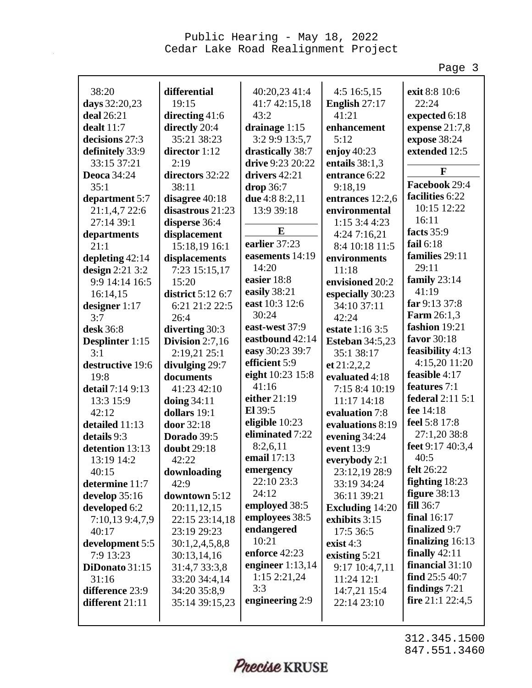Page 3

| 38:20              | differential      | 40:20,23 41:4      | $4:5$ 16:5,15          | exit 8:8 10:6        |
|--------------------|-------------------|--------------------|------------------------|----------------------|
| days 32:20,23      | 19:15             | 41:7 42:15,18      | English 27:17          | 22:24                |
| deal 26:21         | directing $41:6$  | 43:2               | 41:21                  | expected 6:18        |
| dealt 11:7         | directly 20:4     | drainage 1:15      | enhancement            | expense 21:7,8       |
| decisions 27:3     | 35:21 38:23       | 3:2 9:9 13:5,7     | 5:12                   | expose 38:24         |
| definitely 33:9    | director 1:12     | drastically 38:7   | enjoy $40:23$          | extended 12:5        |
| 33:15 37:21        | 2:19              | drive 9:23 20:22   | entails $38:1,3$       |                      |
| <b>Deoca</b> 34:24 | directors 32:22   | drivers 42:21      | entrance 6:22          | F                    |
| 35:1               | 38:11             | drop 36:7          | 9:18,19                | Facebook 29:4        |
| department 5:7     | disagree 40:18    | due 4:8 8:2,11     | entrances 12:2,6       | facilities 6:22      |
| 21:1,4,7 22:6      | disastrous 21:23  | 13:9 39:18         | environmental          | 10:15 12:22          |
| 27:14 39:1         | disperse 36:4     |                    | 1:15 3:4 4:23          | 16:11                |
| departments        | displacement      | E                  | 4:247:16,21            | facts 35:9           |
| 21:1               | 15:18,19 16:1     | earlier 37:23      | 8:4 10:18 11:5         | fail $6:18$          |
| depleting $42:14$  | displacements     | easements 14:19    | environments           | families 29:11       |
| design $2:21$ 3:2  | 7:23 15:15,17     | 14:20              | 11:18                  | 29:11                |
| 9:9 14:14 16:5     | 15:20             | easier 18:8        | envisioned 20:2        | family 23:14         |
| 16:14,15           | district 5:12 6:7 | easily 38:21       | especially 30:23       | 41:19                |
| designer 1:17      | 6:21 21:2 22:5    | east 10:3 12:6     | 34:10 37:11            | far 9:13 37:8        |
| 3:7                | 26:4              | 30:24              | 42:24                  | <b>Farm</b> 26:1,3   |
| desk 36:8          | diverting 30:3    | east-west 37:9     | estate 1:16 3:5        | fashion 19:21        |
| Desplinter 1:15    | Division $2:7,16$ | eastbound 42:14    | <b>Esteban 34:5,23</b> | favor 30:18          |
| 3:1                | 2:19,21 25:1      | easy 30:23 39:7    | 35:1 38:17             | feasibility 4:13     |
| destructive 19:6   | divulging 29:7    | efficient 5:9      | et 21:2,2,2            | 4:15,20 11:20        |
| 19:8               | documents         | eight 10:23 15:8   | evaluated 4:18         | feasible 4:17        |
| detail 7:14 9:13   | 41:23 42:10       | 41:16              | 7:15 8:4 10:19         | features 7:1         |
| 13:3 15:9          | doing $34:11$     | either 21:19       | 11:17 14:18            | federal 2:11 5:1     |
| 42:12              | dollars 19:1      | El 39:5            | evaluation 7:8         | fee 14:18            |
| detailed 11:13     | door 32:18        | eligible 10:23     | evaluations 8:19       | feel 5:8 17:8        |
| details 9:3        | Dorado 39:5       | eliminated 7:22    | evening 34:24          | 27:1,20 38:8         |
| detention 13:13    | doubt 29:18       | 8:2,6,11           | event 13:9             | feet 9:17 40:3,4     |
| 13:19 14:2         | 42:22             | email 17:13        | everybody 2:1          | 40:5                 |
| 40:15              | downloading       | emergency          | 23:12,19 28:9          | <b>felt</b> 26:22    |
| determine 11:7     | 42:9              | 22:10 23:3         | 33:19 34:24            | fighting $18:23$     |
| develop 35:16      | downtown 5:12     | 24:12              | 36:11 39:21            | figure 38:13         |
| developed 6:2      | 20:11,12,15       | employed 38:5      | <b>Excluding 14:20</b> | <b>fill</b> 36:7     |
| 7:10,13 9:4,7,9    | 22:15 23:14,18    | employees 38:5     | exhibits 3:15          | <b>final</b> 16:17   |
| 40:17              | 23:19 29:23       | endangered         | 17:5 36:5              | finalized 9:7        |
| development 5:5    | 30:1,2,4,5,8,8    | 10:21              | exist $4:3$            | finalizing 16:13     |
| 7:9 13:23          | 30:13,14,16       | enforce 42:23      | existing 5:21          | finally $42:11$      |
| DiDonato 31:15     | 31:4,7 33:3,8     | engineer $1:13,14$ | 9:17 10:4,7,11         | financial 31:10      |
| 31:16              | 33:20 34:4,14     | 1:15 2:21,24       | 11:24 12:1             | find $25:540:7$      |
| difference 23:9    | 34:20 35:8,9      | 3:3                | 14:7,21 15:4           | findings $7:21$      |
| different 21:11    | 35:14 39:15,23    | engineering 2:9    | 22:14 23:10            | fire $21:1$ $22:4,5$ |
|                    |                   |                    |                        |                      |
|                    |                   |                    |                        |                      |

Precise KRUSE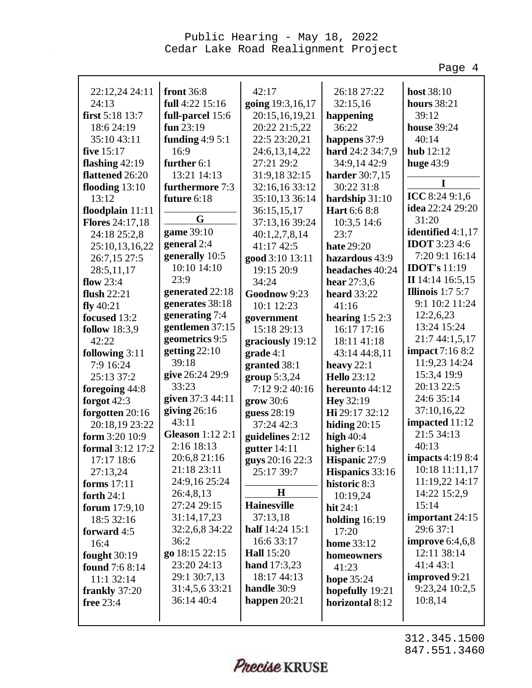Page 4

| 22:12,24 24:11         | <b>front</b> 36:8       | 42:17                 | 26:18 27:22            | host 38:10               |
|------------------------|-------------------------|-----------------------|------------------------|--------------------------|
| 24:13                  | full 4:22 15:16         | going 19:3,16,17      | 32:15,16               | <b>hours</b> 38:21       |
| first 5:18 13:7        | full-parcel 15:6        | 20:15,16,19,21        | happening              | 39:12                    |
| 18:6 24:19             | fun $23:19$             | 20:22 21:5,22         | 36:22                  | <b>house</b> 39:24       |
| 35:10 43:11            | funding $4:95:1$        | 22:5 23:20,21         | happens 37:9           | 40:14                    |
| five 15:17             | 16:9                    | 24:6,13,14,22         | hard 24:2 34:7,9       | hub 12:12                |
| flashing 42:19         | further $6:1$           | 27:21 29:2            | 34:9,14 42:9           | huge $43:9$              |
| flattened 26:20        | 13:21 14:13             | 31:9,18 32:15         | harder 30:7,15         |                          |
| flooding $13:10$       | furthermore 7:3         | 32:16,16 33:12        | 30:22 31:8             | I                        |
| 13:12                  | future 6:18             | 35:10,13 36:14        | hardship 31:10         | ICC 8:24 9:1,6           |
| floodplain $11:11$     |                         | 36:15,15,17           | Hart 6:6 8:8           | idea 22:24 29:20         |
| <b>Flores</b> 24:17,18 | G                       | 37:13,16 39:24        | 10:3,5 14:6            | 31:20                    |
| 24:18 25:2,8           | game 39:10              | 40:1,2,7,8,14         | 23:7                   | identified 4:1,17        |
| 25:10,13,16,22         | general 2:4             | 41:17 42:5            | <b>hate</b> 29:20      | <b>IDOT</b> 3:23 4:6     |
| 26:7,15 27:5           | generally 10:5          | good 3:10 13:11       | hazardous 43:9         | 7:20 9:1 16:14           |
| 28:5,11,17             | 10:10 14:10             | 19:15 20:9            | headaches 40:24        | <b>IDOT's</b> 11:19      |
| flow $23:4$            | 23:9                    | 34:24                 | hear $27:3,6$          | II 14:14 16:5,15         |
| flush $22:21$          | generated 22:18         | Goodnow 9:23          | <b>heard</b> 33:22     | <b>Illinois</b> $1:75:7$ |
| fly $40:21$            | generates 38:18         | 10:1 12:23            | 41:16                  | 9:1 10:2 11:24           |
| focused 13:2           | generating 7:4          | government            | hearing $1:52:3$       | 12:2,6,23                |
| <b>follow</b> 18:3,9   | gentlemen 37:15         | 15:18 29:13           | 16:17 17:16            | 13:24 15:24              |
| 42:22                  | geometrics 9:5          | graciously 19:12      | 18:11 41:18            | 21:7 44:1,5,17           |
| following 3:11         | getting 22:10           | grade 4:1             | 43:14 44:8,11          | impact 7:16 8:2          |
| 7:9 16:24              | 39:18                   | granted 38:1          | heavy $22:1$           | 11:9,23 14:24            |
| 25:13 37:2             | give 26:24 29:9         | group $5:3,24$        | <b>Hello</b> 23:12     | 15:3,4 19:9              |
| foregoing 44:8         | 33:23                   | 7:12 9:2 40:16        | hereunto 44:12         | 20:13 22:5               |
| forgot $42:3$          | given 37:3 44:11        | grow 30:6             | Hey 32:19              | 24:6 35:14               |
| forgotten 20:16        | giving $26:16$          | guess 28:19           | Hi 29:17 32:12         | 37:10,16,22              |
| 20:18,19 23:22         | 43:11                   | 37:24 42:3            | hiding $20:15$         | impacted 11:12           |
| form 3:20 10:9         | <b>Gleason</b> 1:12 2:1 | guidelines 2:12       | high $40:4$            | 21:5 34:13               |
| formal 3:12 17:2       | 2:16 18:13              | gutter $14:11$        | higher 6:14            | 40:13                    |
| 17:17 18:6             | 20:6,8 21:16            | guys 20:16 22:3       | Hispanic 27:9          | <b>impacts</b> 4:19 8:4  |
| 27:13,24               | 21:18 23:11             | 25:17 39:7            | <b>Hispanics</b> 33:16 | 10:18 11:11,17           |
| forms 17:11            | 24:9,16 25:24           |                       | historic 8:3           | 11:19,22 14:17           |
| forth $24:1$           | 26:4,8,13               | Η                     | 10:19,24               | 14:22 15:2,9             |
| forum 17:9,10          | 27:24 29:15             | <b>Hainesville</b>    | hit $24:1$             | 15:14                    |
| 18:5 32:16             | 31:14,17,23             | 37:13,18              | holding $16:19$        | important 24:15          |
| forward 4:5            | 32:2,6,8 34:22          | half 14:24 15:1       | 17:20                  | 29:6 37:1                |
| 16:4                   | 36:2                    | 16:6 33:17            | <b>home</b> 33:12      | improve $6:4,6,8$        |
| <b>fought</b> 30:19    | go 18:15 22:15          | <b>Hall</b> 15:20     | homeowners             | 12:11 38:14              |
| <b>found</b> 7:6 8:14  | 23:20 24:13             | <b>hand</b> $17:3,23$ | 41:23                  | 41:4 43:1                |
| 11:1 32:14             | 29:1 30:7,13            | 18:17 44:13           | hope 35:24             | improved 9:21            |
| frankly 37:20          | 31:4,5,6 33:21          | handle 30:9           | hopefully 19:21        | 9:23,24 10:2,5           |
| free 23:4              | 36:14 40:4              | happen $20:21$        | horizontal 8:12        | 10:8,14                  |
|                        |                         |                       |                        |                          |

Precise KRUSE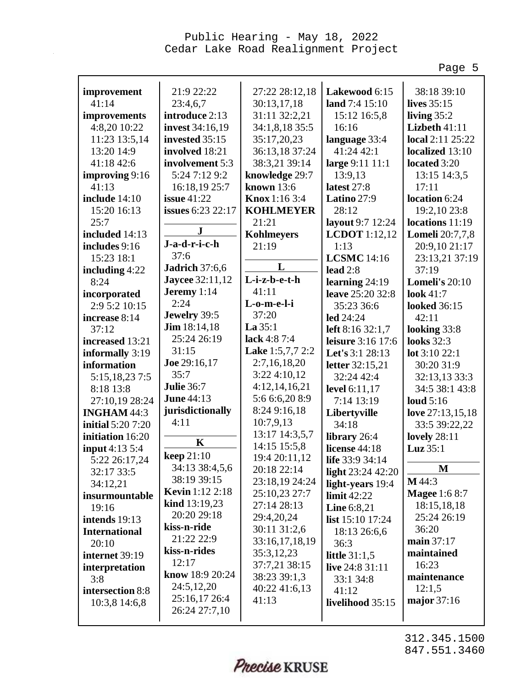Page 5

| improvement              | 21:9 22:22               | 27:22 28:12,18    | Lakewood 6:15        | 38:18 39:10            |
|--------------------------|--------------------------|-------------------|----------------------|------------------------|
| 41:14                    | 23:4,6,7                 | 30:13,17,18       | land 7:4 15:10       | lives 35:15            |
| improvements             | introduce 2:13           | 31:11 32:2,21     | 15:12 16:5,8         | living $35:2$          |
| 4:8,20 10:22             | invest 34:16,19          | 34:1,8,18 35:5    | 16:16                | Lizbeth 41:11          |
| 11:23 13:5,14            | invested 35:15           | 35:17,20,23       | language 33:4        | local 2:11 25:22       |
| 13:20 14:9               | involved 18:21           | 36:13,18 37:24    | 41:24 42:1           | localized 13:10        |
| 41:18 42:6               | involvement 5:3          | 38:3,21 39:14     | large 9:11 11:1      | located 3:20           |
| improving 9:16           | 5:24 7:12 9:2            | knowledge 29:7    | 13:9,13              | 13:15 14:3,5           |
| 41:13                    | 16:18,19 25:7            | known $13:6$      | latest 27:8          | 17:11                  |
| include 14:10            | issue $41:22$            | Knox 1:16 3:4     | Latino 27:9          | location 6:24          |
| 15:20 16:13              | <b>issues</b> 6:23 22:17 | <b>KOHLMEYER</b>  | 28:12                | 19:2,10 23:8           |
| 25:7                     |                          | 21:21             | layout 9:7 12:24     | locations 11:19        |
| included 14:13           | ${\bf J}$                | <b>Kohlmeyers</b> | <b>LCDOT</b> 1:12,12 | <b>Lomeli</b> 20:7,7,8 |
| includes 9:16            | J-a-d-r-i-c-h            | 21:19             | 1:13                 | 20:9,10 21:17          |
| 15:23 18:1               | 37:6                     |                   | <b>LCSMC</b> 14:16   | 23:13,21 37:19         |
| including $4:22$         | <b>Jadrich</b> 37:6,6    | L                 | lead $2:8$           | 37:19                  |
| 8:24                     | <b>Jaycee</b> 32:11,12   | L-i-z-b-e-t-h     | learning $24:19$     | <b>Lomeli's 20:10</b>  |
| incorporated             | Jeremy 1:14              | 41:11             | leave 25:20 32:8     | <b>look</b> 41:7       |
| 2:9 5:2 10:15            | 2:24                     | L-o-m-e-l-i       | 35:23 36:6           | <b>looked</b> 36:15    |
| increase 8:14            | Jewelry 39:5             | 37:20             | led 24:24            | 42:11                  |
| 37:12                    | <b>Jim</b> $18:14,18$    | La 35:1           | left $8:16\,32:1,7$  | looking 33:8           |
| increased 13:21          | 25:24 26:19              | lack 4:8 7:4      | leisure 3:16 17:6    | <b>looks</b> 32:3      |
| informally 3:19          | 31:15                    | Lake 1:5,7,7 2:2  | Let's 3:1 28:13      | lot 3:10 22:1          |
| information              | Joe 29:16,17             | 2:7,16,18,20      | letter 32:15,21      | 30:20 31:9             |
| 5:15,18,23 7:5           | 35:7                     | 3:224:10,12       | 32:24 42:4           | 32:13,13 33:3          |
| 8:18 13:8                | <b>Julie 36:7</b>        | 4:12,14,16,21     | level 6:11,17        | 34:5 38:1 43:8         |
| 27:10,19 28:24           | <b>June 44:13</b>        | 5:6 6:6,20 8:9    | 7:14 13:19           | loud $5:16$            |
| INGHAM 44:3              | jurisdictionally         | 8:24 9:16,18      | Libertyville         | love 27:13,15,18       |
| <b>initial</b> 5:20 7:20 | 4:11                     | 10:7,9,13         | 34:18                | 33:5 39:22,22          |
| initiation 16:20         |                          | 13:17 14:3,5,7    | library 26:4         | <b>lovely</b> 28:11    |
| input 4:13 5:4           | $\mathbf K$              | 14:15 15:5,8      | license 44:18        | Luz 35:1               |
| 5:22 26:17,24            | <b>keep</b> 21:10        | 19:4 20:11,12     | life 33:9 34:14      |                        |
| 32:17 33:5               | 34:13 38:4,5,6           | 20:18 22:14       | light $23:24$ 42:20  | $\mathbf M$            |
| 34:12,21                 | 38:19 39:15              | 23:18,19 24:24    | light-years 19:4     | M 44:3                 |
| insurmountable           | <b>Kevin</b> 1:12 2:18   | 25:10,23 27:7     | limit 42:22          | <b>Magee</b> 1:6 8:7   |
| 19:16                    | kind 13:19,23            | 27:14 28:13       | Line $6:8,21$        | 18:15,18,18            |
| intends 19:13            | 20:20 29:18              | 29:4,20,24        | list 15:10 17:24     | 25:24 26:19            |
| <b>International</b>     | kiss-n-ride              | 30:11 31:2,6      | 18:13 26:6,6         | 36:20                  |
| 20:10                    | 21:22 22:9               | 33:16,17,18,19    | 36:3                 | main 37:17             |
| internet 39:19           | kiss-n-rides             | 35:3,12,23        | little $31:1,5$      | maintained             |
| interpretation           | 12:17                    | 37:7,21 38:15     | live 24:8 31:11      | 16:23                  |
| 3:8                      | know 18:9 20:24          | 38:23 39:1,3      | 33:1 34:8            | maintenance            |
| intersection 8:8         | 24:5,12,20               | 40:22 41:6,13     | 41:12                | 12:1,5                 |
| 10:3,8 14:6,8            | 25:16,17 26:4            | 41:13             | livelihood 35:15     | major $37:16$          |
|                          | 26:24 27:7,10            |                   |                      |                        |
|                          |                          |                   |                      |                        |

Precise KRUSE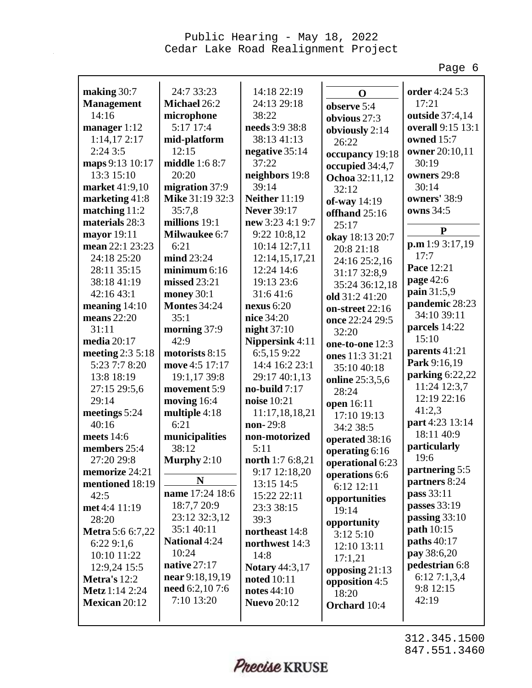Page 6

| making 30:7             | 24:7 33:23            | 14:18 22:19            | $\mathbf 0$      | order 4:24 5:3                  |
|-------------------------|-----------------------|------------------------|------------------|---------------------------------|
| <b>Management</b>       | Michael 26:2          | 24:13 29:18            | observe 5:4      | 17:21                           |
| 14:16                   | microphone            | 38:22                  | obvious 27:3     | outside 37:4,14                 |
| manager $1:12$          | 5:17 17:4             | needs 3:9 38:8         | obviously 2:14   | overall 9:15 13:1               |
| 1:14,172:17             | mid-platform          | 38:13 41:13            | 26:22            | owned 15:7                      |
| 2:243:5                 | 12:15                 | negative 35:14         | occupancy 19:18  | owner 20:10,11                  |
| maps 9:13 10:17         | <b>middle</b> 1:6 8:7 | 37:22                  | occupied 34:4,7  | 30:19                           |
| 13:3 15:10              | 20:20                 | neighbors 19:8         | Ochoa 32:11,12   | owners 29:8                     |
| market 41:9,10          | migration 37:9        | 39:14                  | 32:12            | 30:14                           |
| marketing $41:8$        | Mike 31:19 32:3       | <b>Neither</b> 11:19   | of-way 14:19     | owners' 38:9                    |
| matching 11:2           | 35:7,8                | <b>Never 39:17</b>     | offhand 25:16    | owns 34:5                       |
| materials 28:3          | millions 19:1         | new 3:23 4:1 9:7       | 25:17            | ${\bf P}$                       |
| mayor 19:11             | <b>Milwaukee 6:7</b>  | 9:22 10:8,12           | okay 18:13 20:7  | p.m 1:9 3:17,19                 |
| mean 22:1 23:23         | 6:21                  | 10:14 12:7,11          | 20:8 21:18       | 17:7                            |
| 24:18 25:20             | mind 23:24            | 12:14,15,17,21         | 24:16 25:2,16    | Pace 12:21                      |
| 28:11 35:15             | minimum $6:16$        | 12:24 14:6             | 31:17 32:8,9     | page 42:6                       |
| 38:18 41:19             | missed 23:21          | 19:13 23:6             | 35:24 36:12,18   | pain 31:5,9                     |
| 42:16 43:1              | money 30:1            | 31:641:6               | old 31:2 41:20   | pandemic 28:23                  |
| meaning $14:10$         | <b>Montes 34:24</b>   | nexus $6:20$           | on-street 22:16  | 34:10 39:11                     |
| means $22:20$           | 35:1                  | nice 34:20             | once 22:24 29:5  | parcels 14:22                   |
| 31:11                   | morning 37:9          | night $37:10$          | 32:20            | 15:10                           |
| media 20:17             | 42:9                  | <b>Nippersink 4:11</b> | one-to-one 12:3  | parents 41:21                   |
| meeting $2:35:18$       | motorists 8:15        | 6:5,159:22             | ones 11:3 31:21  | Park 9:16,19                    |
| 5:23 7:7 8:20           | move 4:5 17:17        | 14:4 16:2 23:1         | 35:10 40:18      | parking 6:22,22                 |
| 13:8 18:19              | 19:1,17 39:8          | 29:17 40:1,13          | online 25:3,5,6  | 11:24 12:3,7                    |
| 27:15 29:5,6            | movement 5:9          | no-build $7:17$        | 28:24            | 12:19 22:16                     |
| 29:14                   | moving 16:4           | noise 10:21            | open 16:11       | 41:2,3                          |
| meetings 5:24           | multiple 4:18         | 11:17,18,18,21         | 17:10 19:13      | part 4:23 13:14                 |
| 40:16                   | 6:21                  | non-29:8               | 34:2 38:5        | 18:11 40:9                      |
| meets 14:6              | municipalities        | non-motorized          | operated 38:16   | particularly                    |
| members 25:4            | 38:12                 | 5:11                   | operating 6:16   | 19:6                            |
| 27:20 29:8              | Murphy $2:10$         | north 1:7 6:8,21       | operational 6:23 |                                 |
| memorize 24:21          | N                     | 9:17 12:18,20          | operations 6:6   | partnering 5:5<br>partners 8:24 |
| mentioned 18:19         | name 17:24 18:6       | 13:15 14:5             | 6:12 12:11       | pass 33:11                      |
| 42:5                    | 18:7,7 20:9           | 15:22 22:11            | opportunities    | passes 33:19                    |
| met 4:4 11:19           | 23:12 32:3,12         | 23:3 38:15             | 19:14            | passing 33:10                   |
| 28:20                   | 35:1 40:11            | 39:3                   | opportunity      | path 10:15                      |
| <b>Metra</b> 5:6 6:7,22 | National 4:24         | northeast 14:8         | 3:125:10         | paths 40:17                     |
| 6:229:1,6               | 10:24                 | northwest 14:3         | 12:10 13:11      | pay 38:6,20                     |
| 10:10 11:22             | native $27:17$        | 14:8                   | 17:1,21          | pedestrian 6:8                  |
| 12:9,24 15:5            | near 9:18,19,19       | <b>Notary 44:3,17</b>  | opposing $21:13$ | 6:127:1,3,4                     |
| Metra's 12:2            | need 6:2,10 7:6       | <b>noted</b> 10:11     | opposition 4:5   | 9:8 12:15                       |
| Metz 1:14 2:24          | 7:10 13:20            | notes 44:10            | 18:20            | 42:19                           |
| Mexican 20:12           |                       | <b>Nuevo</b> 20:12     | Orchard 10:4     |                                 |
|                         |                       |                        |                  |                                 |

Precise KRUSE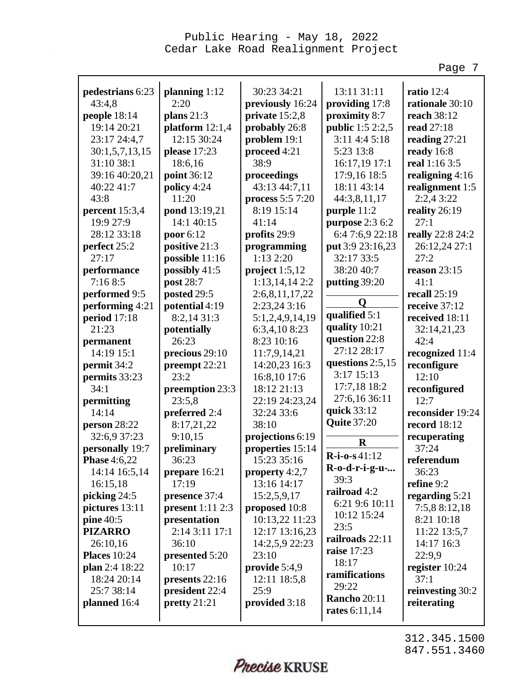Page 7

| pedestrians 6:23                 | planning $1:12$<br>2:20          | 30:23 34:21                    | 13:11 31:11                         | ratio $12:4$                 |
|----------------------------------|----------------------------------|--------------------------------|-------------------------------------|------------------------------|
| 43:4,8                           |                                  | previously 16:24               | providing 17:8                      | rationale 30:10              |
| people 18:14<br>19:14 20:21      | plans $21:3$                     | private 15:2,8                 | proximity 8:7                       | reach 38:12<br>read 27:18    |
|                                  | platform $12:1,4$<br>12:15 30:24 | probably 26:8                  | public 1:5 2:2,5<br>$3:11$ 4:4 5:18 |                              |
| 23:17 24:4,7                     |                                  | problem 19:1                   | 5:23 13:8                           | reading $27:21$              |
| 30:1, 5, 7, 13, 15<br>31:10 38:1 | please 17:23<br>18:6,16          | proceed 4:21<br>38:9           | 16:17,19 17:1                       | ready 16:8<br>real 1:16 3:5  |
| 39:16 40:20,21                   |                                  |                                | 17:9,16 18:5                        |                              |
|                                  | point 36:12                      | proceedings                    | 18:11 43:14                         | realigning 4:16              |
| 40:22 41:7<br>43:8               | policy 4:24<br>11:20             | 43:13 44:7,11                  |                                     | realignment 1:5<br>2:2,43:22 |
|                                  |                                  | process 5:5 7:20<br>8:19 15:14 | 44:3,8,11,17                        |                              |
| percent 15:3,4                   | pond 13:19,21<br>14:1 40:15      |                                | purple 11:2                         | reality 26:19<br>27:1        |
| 19:9 27:9                        |                                  | 41:14                          | purpose 2:3 6:2                     |                              |
| 28:12 33:18                      | poor 6:12                        | profits 29:9                   | 6:4 7:6,9 22:18                     | really 22:8 24:2             |
| perfect 25:2<br>27:17            | positive 21:3                    | programming<br>1:132:20        | put 3:9 23:16,23                    | 26:12,24 27:1<br>27:2        |
|                                  | possible 11:16                   |                                | 32:17 33:5                          |                              |
| performance<br>7:168:5           | possibly 41:5                    | project $1:5,12$               | 38:20 40:7                          | reason 23:15                 |
|                                  | post 28:7                        | 1:13,14,14 2:2                 | putting 39:20                       | 41:1                         |
| performed 9:5                    | posted 29:5                      | 2:6,8,11,17,22                 | Q                                   | recall $25:19$               |
| performing 4:21                  | potential 4:19                   | 2:23,24 3:16                   | qualified 5:1                       | receive 37:12                |
| period $17:18$<br>21:23          | 8:2,14 31:3                      | 5:1,2,4,9,14,19                | quality 10:21                       | received 18:11               |
|                                  | potentially<br>26:23             | 6:3,4,108:23                   | question 22:8                       | 32:14,21,23                  |
| permanent                        |                                  | 8:23 10:16                     | 27:12 28:17                         | 42:4                         |
| 14:19 15:1                       | precious 29:10                   | 11:7,9,14,21                   | questions $2:5,15$                  | recognized 11:4              |
| permit 34:2                      | preempt 22:21                    | 14:20,23 16:3                  | $3:17$ 15:13                        | reconfigure                  |
| permits 33:23                    | 23:2                             | 16:8,10 17:6                   | 17:7,18 18:2                        | 12:10                        |
| 34:1                             | preemption 23:3                  | 18:12 21:13                    | 27:6,16 36:11                       | reconfigured                 |
| permitting                       | 23:5,8                           | 22:19 24:23,24                 | quick 33:12                         | 12:7                         |
| 14:14                            | preferred 2:4                    | 32:24 33:6                     | <b>Quite 37:20</b>                  | reconsider 19:24             |
| person 28:22                     | 8:17,21,22                       | 38:10                          |                                     | <b>record</b> 18:12          |
| 32:6,9 37:23                     | 9:10,15                          | projections 6:19               | R                                   | recuperating                 |
| personally 19:7                  | preliminary                      | properties 15:14               | $R-i-0-841:12$                      | 37:24                        |
| <b>Phase 4:6,22</b>              | 36:23                            | 15:23 35:16                    | R-o-d-r-i-g-u-                      | referendum                   |
| 14:14 16:5,14                    | prepare 16:21                    | property $4:2,7$               | 39:3                                | 36:23                        |
| 16:15,18                         | 17:19                            | 13:16 14:17                    | railroad 4:2                        | refine 9:2                   |
| picking 24:5                     | presence 37:4                    | 15:2,5,9,17                    | 6:21 9:6 10:11                      | regarding 5:21               |
| pictures 13:11                   | present $1:11$ $2:3$             | proposed 10:8                  | 10:12 15:24                         | 7:5,8 8:12,18                |
| $pine\,40:5$                     | presentation                     | 10:13,22 11:23                 | 23:5                                | 8:21 10:18                   |
| <b>PIZARRO</b>                   | 2:14 3:11 17:1                   | 12:17 13:16,23                 | railroads 22:11                     | 11:22 13:5,7                 |
| 26:10,16                         | 36:10                            | 14:2,5,9 22:23                 | <b>raise</b> 17:23                  | 14:17 16:3                   |
| <b>Places</b> 10:24              | presented 5:20                   | 23:10                          | 18:17                               | 22:9,9                       |
| plan 2:4 18:22                   | 10:17                            | provide $5:4,9$                | ramifications                       | register 10:24               |
| 18:24 20:14                      | presents 22:16                   | 12:11 18:5,8                   | 29:22                               | 37:1                         |
| 25:7 38:14                       | president 22:4                   | 25:9                           | <b>Rancho 20:11</b>                 | reinvesting 30:2             |
| planned 16:4                     | pretty $21:21$                   | provided 3:18                  | rates $6:11,14$                     | reiterating                  |
|                                  |                                  |                                |                                     |                              |

Precise KRUSE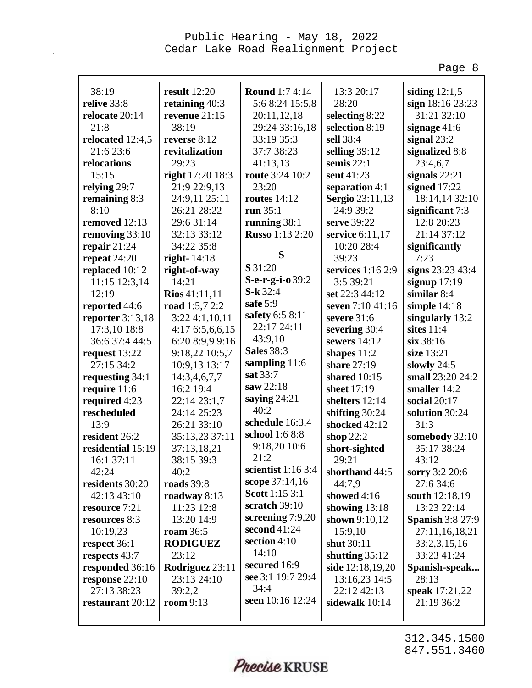Page 8

| 38:19              | result $12:20$         | <b>Round</b> 1:7 4:14  | 13:3 20:17              | siding $12:1,5$         |
|--------------------|------------------------|------------------------|-------------------------|-------------------------|
| relive 33:8        | retaining 40:3         | 5:6 8:24 15:5,8        | 28:20                   | sign 18:16 23:23        |
| relocate 20:14     | revenue 21:15          | 20:11,12,18            | selecting 8:22          | 31:21 32:10             |
| 21:8               | 38:19                  | 29:24 33:16,18         | selection 8:19          | signage $41:6$          |
| relocated 12:4,5   | reverse 8:12           | 33:19 35:3             | sell 38:4               | signal $23:2$           |
| 21:6 23:6          | revitalization         | 37:7 38:23             | selling $39:12$         | signalized 8:8          |
| relocations        | 29:23                  | 41:13,13               | semis $22:1$            | 23:4,6,7                |
| 15:15              | right 17:20 18:3       | <b>route</b> 3:24 10:2 | sent 41:23              | signals $22:21$         |
| relying 29:7       | 21:9 22:9,13           | 23:20                  | separation 4:1          | signed $17:22$          |
| remaining 8:3      | 24:9,11 25:11          | <b>routes</b> 14:12    | <b>Sergio</b> 23:11,13  | 18:14,14 32:10          |
| 8:10               | 26:21 28:22            | run $35:1$             | 24:9 39:2               | significant 7:3         |
| removed 12:13      | 29:6 31:14             | running $38:1$         | serve 39:22             | 12:8 20:23              |
| removing 33:10     | 32:13 33:12            | <b>Russo</b> 1:13 2:20 | service 6:11,17         | 21:14 37:12             |
| repair $21:24$     | 34:22 35:8             |                        | 10:20 28:4              | significantly           |
| repeat 24:20       | right- $14:18$         | S                      | 39:23                   | 7:23                    |
| replaced 10:12     | right-of-way           | S 31:20                | services 1:16 2:9       | signs 23:23 43:4        |
| 11:15 12:3,14      | 14:21                  | S-e-r-g-i-o 39:2       | 3:5 39:21               | signup $17:19$          |
| 12:19              | <b>Rios</b> $41:11,11$ | $S-k32:4$              | set 22:3 44:12          | similar 8:4             |
| reported 44:6      | road 1:5,7 2:2         | safe $5:9$             | seven 7:10 41:16        | simple $14:18$          |
| reporter $3:13,18$ | 3:224:1,10,11          | safety 6:5 8:11        | severe 31:6             | singularly 13:2         |
| 17:3,10 18:8       | 4:17 6:5,6,6,15        | 22:17 24:11            | severing 30:4           | sites $11:4$            |
| 36:6 37:4 44:5     | 6:20 8:9,9 9:16        | 43:9,10                | sewers $14:12$          | six 38:16               |
| request 13:22      | 9:18,22 10:5,7         | <b>Sales</b> 38:3      | shapes $11:2$           | size 13:21              |
| 27:15 34:2         | 10:9,13 13:17          | sampling 11:6          | share 27:19             | slowly $24:5$           |
| requesting 34:1    | 14:3,4,6,7,7           | sat 33:7               | shared 10:15            | small 23:20 24:2        |
| require 11:6       | 16:2 19:4              | saw 22:18              | sheet 17:19             | smaller 14:2            |
| required 4:23      | 22:14 23:1,7           | saying $24:21$         | shelters 12:14          | social $20:17$          |
| rescheduled        | 24:14 25:23            | 40:2                   | shifting $30:24$        | solution 30:24          |
| 13:9               | 26:21 33:10            | schedule 16:3,4        | shocked 42:12           | 31:3                    |
| resident 26:2      | 35:13,23 37:11         | school 1:6 8:8         | shop $22:2$             | somebody 32:10          |
| residential 15:19  | 37:13,18,21            | 9:18,20 10:6           | short-sighted           | 35:17 38:24             |
| 16:1 37:11         | 38:15 39:3             | 21:2                   | 29:21                   | 43:12                   |
| 42:24              | 40:2                   | scientist $1:163:4$    | shorthand 44:5          | sorry 3:2 20:6          |
| residents 30:20    | roads 39:8             | scope 37:14,16         | 44:7,9                  | 27:6 34:6               |
| 42:13 43:10        | roadway $8:13$         | Scott 1:15 3:1         | showed 4:16             | south 12:18,19          |
| resource 7:21      | 11:23 12:8             | scratch 39:10          | showing $13:18$         | 13:23 22:14             |
| resources 8:3      | 13:20 14:9             | screening $7:9,20$     | shown 9:10,12           | <b>Spanish 3:8 27:9</b> |
| 10:19,23           | <b>roam</b> 36:5       | second $41:24$         | 15:9,10                 | 27:11,16,18,21          |
| respect 36:1       | <b>RODIGUEZ</b>        | section $4:10$         | shut 30:11              | 33:2,3,15,16            |
| respects 43:7      | 23:12                  | 14:10                  | shutting $35:12$        | 33:23 41:24             |
| responded 36:16    | Rodriguez 23:11        | secured 16:9           | <b>side</b> 12:18,19,20 | Spanish-speak           |
| response 22:10     | 23:13 24:10            | see 3:1 19:7 29:4      | 13:16,23 14:5           | 28:13                   |
| 27:13 38:23        | 39:2,2                 | 34:4                   | 22:12 42:13             | speak 17:21,22          |
| restaurant 20:12   | room 9:13              | seen 10:16 12:24       | sidewalk 10:14          | 21:19 36:2              |
|                    |                        |                        |                         |                         |

Precise KRUSE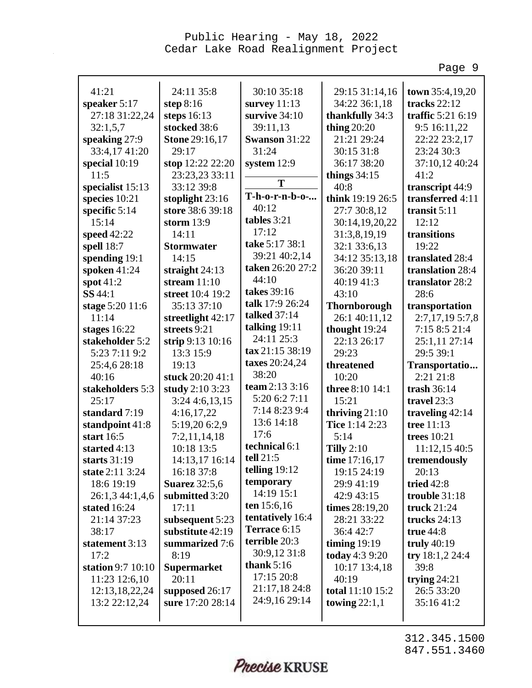Page 9

| 41:21             | 24:11 35:8            | 30:10 35:18               | 29:15 31:14,16      | town 35:4,19,20    |
|-------------------|-----------------------|---------------------------|---------------------|--------------------|
| speaker 5:17      | step $8:16$           | survey $11:13$            | 34:22 36:1,18       | tracks 22:12       |
| 27:18 31:22,24    | steps $16:13$         | survive 34:10             | thankfully 34:3     | traffic 5:21 6:19  |
| 32:1,5,7          | stocked 38:6          | 39:11,13                  | thing $20:20$       | 9:5 16:11,22       |
| speaking 27:9     | <b>Stone 29:16,17</b> | Swanson 31:22             | 21:21 29:24         | 22:22 23:2,17      |
| 33:4,17 41:20     | 29:17                 | 31:24                     | 30:15 31:8          | 23:24 30:3         |
| special $10:19$   | stop 12:22 22:20      | system $12:9$             | 36:17 38:20         | 37:10,12 40:24     |
| 11:5              | 23:23,23 33:11        | T                         | things $34:15$      | 41:2               |
| specialist 15:13  | 33:12 39:8            |                           | 40:8                | transcript 44:9    |
| species 10:21     | stoplight $23:16$     | T-h-o-r-n-b-o-            | think 19:19 26:5    | transferred 4:11   |
| specific 5:14     | store 38:6 39:18      | 40:12                     | 27:7 30:8,12        | transit $5:11$     |
| 15:14             | storm $13:9$          | tables 3:21               | 30:14,19,20,22      | 12:12              |
| speed 42:22       | 14:11                 | 17:12                     | 31:3,8,19,19        | transitions        |
| spell 18:7        | <b>Stormwater</b>     | take 5:17 38:1            | 32:1 33:6,13        | 19:22              |
| spending 19:1     | 14:15                 | 39:21 40:2,14             | 34:12 35:13,18      | translated 28:4    |
| spoken 41:24      | straight $24:13$      | taken 26:20 27:2<br>44:10 | 36:20 39:11         | translation 28:4   |
| spot $41:2$       | stream $11:10$        |                           | 40:19 41:3          | translator 28:2    |
| SS 44:1           | street 10:4 19:2      | takes 39:16               | 43:10               | 28:6               |
| stage 5:20 11:6   | 35:13 37:10           | talk 17:9 26:24           | <b>Thornborough</b> | transportation     |
| 11:14             | streetlight $42:17$   | <b>talked</b> 37:14       | 26:1 40:11,12       | 2:7,17,19 5:7,8    |
| stages $16:22$    | streets 9:21          | talking $19:11$           | thought 19:24       | 7:15 8:5 21:4      |
| stakeholder 5:2   | strip 9:13 10:16      | 24:11 25:3                | 22:13 26:17         | 25:1,11 27:14      |
| 5:23 7:11 9:2     | 13:3 15:9             | tax 21:15 38:19           | 29:23               | 29:5 39:1          |
| 25:4,6 28:18      | 19:13                 | taxes 20:24,24            | threatened          | Transportatio      |
| 40:16             | stuck 20:20 41:1      | 38:20                     | 10:20               | 2:21 21:8          |
| stakeholders 5:3  | study 2:10 3:23       | team 2:13 3:16            | three 8:10 14:1     | trash $36:14$      |
| 25:17             | $3:24$ 4:6,13,15      | 5:20 6:2 7:11             | 15:21               | travel 23:3        |
| standard 7:19     | 4:16,17,22            | 7:14 8:23 9:4             | thriving $21:10$    | traveling $42:14$  |
| standpoint 41:8   | 5:19,20 6:2,9         | 13:6 14:18                | Tice 1:14 2:23      | tree 11:13         |
| start $16:5$      | 7:2,11,14,18          | 17:6                      | 5:14                | <b>trees</b> 10:21 |
| started 4:13      | 10:18 13:5            | technical 6:1             | Tilly $2:10$        | 11:12,15 40:5      |
| starts 31:19      | 14:13,17 16:14        | tell 21:5                 | time 17:16,17       | tremendously       |
| state 2:11 3:24   | 16:18 37:8            | telling $19:12$           | 19:15 24:19         | 20:13              |
| 18:6 19:19        | <b>Suarez</b> 32:5,6  | temporary                 | 29:9 41:19          | tried $42:8$       |
| 26:1,3 44:1,4,6   | submitted 3:20        | 14:19 15:1                | 42:9 43:15          | trouble 31:18      |
| stated $16:24$    | 17:11                 | ten $15:6,16$             | times 28:19,20      | truck 21:24        |
| 21:14 37:23       | subsequent 5:23       | tentatively 16:4          | 28:21 33:22         | trucks $24:13$     |
| 38:17             | substitute 42:19      | Terrace 6:15              | 36:4 42:7           | true $44:8$        |
| statement 3:13    | summarized 7:6        | terrible 20:3             | timing $19:19$      | truly $40:19$      |
| 17:2              | 8:19                  | 30:9,12 31:8              | today 4:3 9:20      | try $18:1,224:4$   |
| station 9:7 10:10 | <b>Supermarket</b>    | thank $5:16$              | 10:17 13:4,18       | 39:8               |
| 11:23 12:6,10     | 20:11                 | 17:15 20:8                | 40:19               | trying $24:21$     |
| 12:13,18,22,24    | supposed 26:17        | 21:17,18 24:8             | total 11:10 15:2    | 26:5 33:20         |
| 13:2 22:12,24     | sure 17:20 28:14      | 24:9,16 29:14             | towing $22:1,1$     | 35:16 41:2         |
|                   |                       |                           |                     |                    |

Precise KRUSE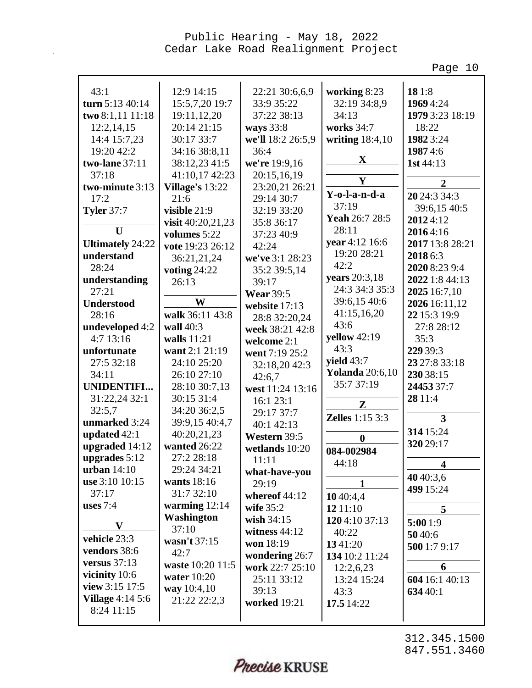Page 10

| 43:1                    | 12:9 14:15           | 22:21 30:6,6,9    | working 8:23           | 181:8                   |
|-------------------------|----------------------|-------------------|------------------------|-------------------------|
| turn 5:13 40:14         | 15:5,7,20 19:7       | 33:9 35:22        | 32:19 34:8,9           | 1969 4:24               |
| two 8:1,11 11:18        | 19:11,12,20          | 37:22 38:13       | 34:13                  | 1979 3:23 18:19         |
| 12:2,14,15              | 20:14 21:15          | ways 33:8         | works 34:7             | 18:22                   |
| 14:4 15:7,23            | 30:17 33:7           | we'll 18:2 26:5,9 | writing 18:4,10        | 1982 3:24               |
| 19:20 42:2              | 34:16 38:8,11        | 36:4              |                        | 19874:6                 |
| two-lane 37:11          | 38:12,23 41:5        | we're 19:9,16     | X                      | 1st $44:13$             |
| 37:18                   | 41:10,17 42:23       | 20:15,16,19       | $\mathbf Y$            | $\overline{2}$          |
| two-minute 3:13         | Village's 13:22      | 23:20,21 26:21    | Y-o-l-a-n-d-a          |                         |
| 17:2                    | 21:6                 | 29:14 30:7        | 37:19                  | 20 24:3 34:3            |
| <b>Tyler 37:7</b>       | visible 21:9         | 32:19 33:20       | Yeah 26:7 28:5         | 39:6,15 40:5            |
| $\mathbf{U}$            | visit $40:20,21,23$  | 35:8 36:17        | 28:11                  | 20124:12                |
|                         | volumes 5:22         | 37:23 40:9        | year 4:12 16:6         | 20164:16                |
| <b>Ultimately 24:22</b> | vote 19:23 26:12     | 42:24             | 19:20 28:21            | 2017 13:8 28:21         |
| understand              | 36:21,21,24          | we've 3:1 28:23   | 42:2                   | 2018 6:3                |
| 28:24                   | voting $24:22$       | 35:2 39:5,14      |                        | 2020 8:23 9:4           |
| understanding           | 26:13                | 39:17             | years 20:3,18          | 2022 1:8 44:13          |
| 27:21                   |                      | <b>Wear 39:5</b>  | 24:3 34:3 35:3         | 2025 16:7,10            |
| <b>Understood</b>       | W                    | website 17:13     | 39:6,15 40:6           | 2026 16:11,12           |
| 28:16                   | walk 36:11 43:8      | 28:8 32:20,24     | 41:15,16,20<br>43:6    | 22 15:3 19:9            |
| undeveloped 4:2         | wall 40:3            | week 38:21 42:8   |                        | 27:8 28:12              |
| 4:713:16                | walls $11:21$        | welcome 2:1       | yellow 42:19           | 35:3                    |
| unfortunate             | want 2:1 21:19       | went 7:19 25:2    | 43:3                   | 229 39:3                |
| 27:5 32:18              | 24:10 25:20          | 32:18,20 42:3     | yield $43:7$           | 23 27:8 33:18           |
| 34:11                   | 26:10 27:10          | 42:6,7            | <b>Yolanda</b> 20:6,10 | 230 38:15               |
| <b>UNIDENTIFI</b>       | 28:10 30:7,13        | west 11:24 13:16  | 35:7 37:19             | 24453 37:7              |
| 31:22,24 32:1           | 30:15 31:4           | 16:1 23:1         | $\mathbf{Z}$           | 28 11:4                 |
| 32:5,7                  | 34:20 36:2,5         | 29:17 37:7        | <b>Zelles</b> 1:15 3:3 | 3                       |
| unmarked 3:24           | 39:9,15 40:4,7       | 40:1 42:13        |                        |                         |
| updated 42:1            | 40:20,21,23          | Western 39:5      | $\boldsymbol{0}$       | 314 15:24               |
| upgraded 14:12          | wanted 26:22         | wetlands 10:20    | 084-002984             | 320 29:17               |
| upgrades $5:12$         | 27:2 28:18           | 11:11             | 44:18                  | $\overline{\mathbf{4}}$ |
| urban $14:10$           | 29:24 34:21          | what-have-you     |                        | 4040:3,6                |
| use $3:10$ $10:15$      | wants 18:16          | 29:19             | 1                      | 499 15:24               |
| 37:17                   | 31:7 32:10           | whereof $44:12$   | 1040:4,4               |                         |
| uses $7:4$              | warming $12:14$      | wife $35:2$       | 12 11:10               | 5                       |
| $\mathbf{V}$            | Washington           | wish $34:15$      | 1204:10 37:13          | 5:00 1:9                |
| vehicle 23:3            | 37:10                | witness $44:12$   | 40:22                  | 5040:6                  |
| vendors 38:6            | wasn't 37:15<br>42:7 | won 18:19         | 1341:20                | 500 1:7 9:17            |
| versus $37:13$          | waste 10:20 11:5     | wondering 26:7    | 134 10:2 11:24         |                         |
| vicinity 10:6           |                      | work 22:7 25:10   | 12:2,6,23              | 6                       |
| view 3:15 17:5          | water $10:20$        | 25:11 33:12       | 13:24 15:24            | 604 16:1 40:13          |
| <b>Village</b> 4:14 5:6 | way 10:4,10          | 39:13             | 43:3                   | 634 40:1                |
| 8:24 11:15              | 21:22 22:2,3         | worked 19:21      | 17.5 14:22             |                         |
|                         |                      |                   |                        |                         |

Precise KRUSE